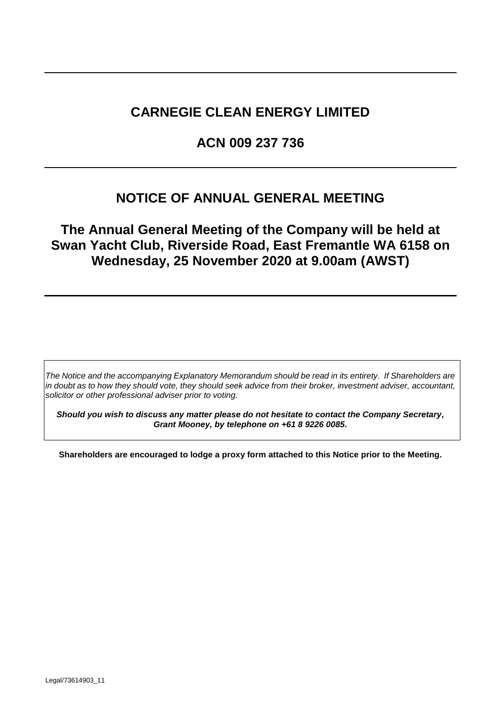# **CARNEGIE CLEAN ENERGY LIMITED**

# **ACN 009 237 736**

# **NOTICE OF ANNUAL GENERAL MEETING**

**The Annual General Meeting of the Company will be held at Swan Yacht Club, Riverside Road, East Fremantle WA 6158 on Wednesday, 25 November 2020 at 9.00am (AWST)**

*The Notice and the accompanying Explanatory Memorandum should be read in its entirety. If Shareholders are in doubt as to how they should vote, they should seek advice from their broker, investment adviser, accountant, solicitor or other professional adviser prior to voting.*

*Should you wish to discuss any matter please do not hesitate to contact the Company Secretary, Grant Mooney, by telephone on +61 8 9226 0085.*

**Shareholders are encouraged to lodge a proxy form attached to this Notice prior to the Meeting.**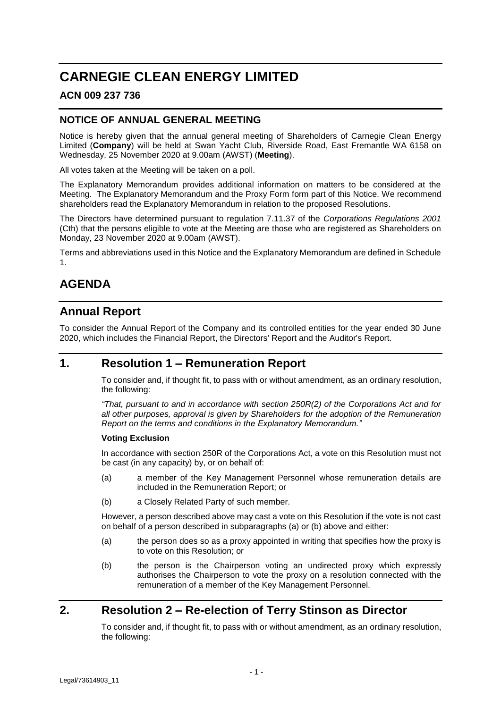# **CARNEGIE CLEAN ENERGY LIMITED**

### **ACN 009 237 736**

### **NOTICE OF ANNUAL GENERAL MEETING**

Notice is hereby given that the annual general meeting of Shareholders of Carnegie Clean Energy Limited (**Company**) will be held at Swan Yacht Club, Riverside Road, East Fremantle WA 6158 on Wednesday, 25 November 2020 at 9.00am (AWST) (**Meeting**).

All votes taken at the Meeting will be taken on a poll.

The Explanatory Memorandum provides additional information on matters to be considered at the Meeting. The Explanatory Memorandum and the Proxy Form form part of this Notice. We recommend shareholders read the Explanatory Memorandum in relation to the proposed Resolutions.

The Directors have determined pursuant to regulation 7.11.37 of the *Corporations Regulations 2001*  (Cth) that the persons eligible to vote at the Meeting are those who are registered as Shareholders on Monday, 23 November 2020 at 9.00am (AWST).

Terms and abbreviations used in this Notice and the Explanatory Memorandum are defined in Schedule 1.

# **AGENDA**

## **Annual Report**

To consider the Annual Report of the Company and its controlled entities for the year ended 30 June 2020, which includes the Financial Report, the Directors' Report and the Auditor's Report.

### <span id="page-1-0"></span>**1. Resolution 1 – Remuneration Report**

To consider and, if thought fit, to pass with or without amendment, as an ordinary resolution, the following:

*"That, pursuant to and in accordance with section 250R(2) of the Corporations Act and for all other purposes, approval is given by Shareholders for the adoption of the Remuneration Report on the terms and conditions in the Explanatory Memorandum."*

#### **Voting Exclusion**

In accordance with section 250R of the Corporations Act, a vote on this Resolution must not be cast (in any capacity) by, or on behalf of:

- (a) a member of the Key Management Personnel whose remuneration details are included in the Remuneration Report; or
- (b) a Closely Related Party of such member.

However, a person described above may cast a vote on this Resolution if the vote is not cast on behalf of a person described in subparagraphs (a) or (b) above and either:

- (a) the person does so as a proxy appointed in writing that specifies how the proxy is to vote on this Resolution; or
- (b) the person is the Chairperson voting an undirected proxy which expressly authorises the Chairperson to vote the proxy on a resolution connected with the remuneration of a member of the Key Management Personnel.

# <span id="page-1-1"></span>**2. Resolution 2 – Re-election of Terry Stinson as Director**

To consider and, if thought fit, to pass with or without amendment, as an ordinary resolution, the following: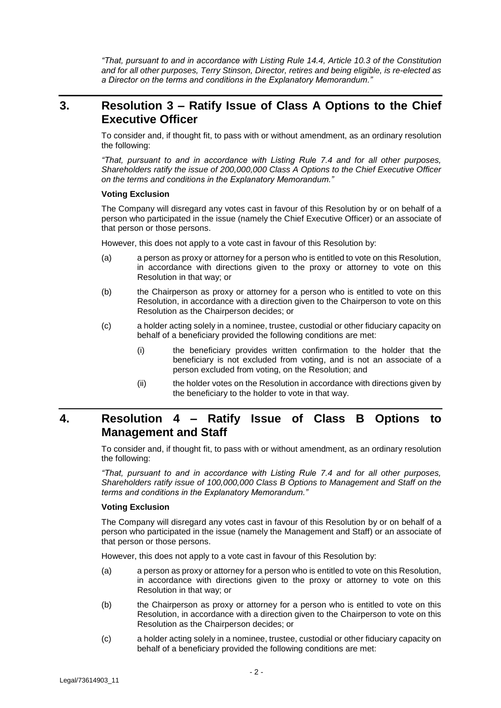*"That, pursuant to and in accordance with Listing Rule 14.4, Article 10.3 of the Constitution and for all other purposes, Terry Stinson, Director, retires and being eligible, is re-elected as a Director on the terms and conditions in the Explanatory Memorandum."*

### <span id="page-2-0"></span>**3. Resolution 3 – Ratify Issue of Class A Options to the Chief Executive Officer**

To consider and, if thought fit, to pass with or without amendment, as an ordinary resolution the following:

*"That, pursuant to and in accordance with Listing Rule 7.4 and for all other purposes, Shareholders ratify the issue of 200,000,000 Class A Options to the Chief Executive Officer on the terms and conditions in the Explanatory Memorandum."*

#### **Voting Exclusion**

The Company will disregard any votes cast in favour of this Resolution by or on behalf of a person who participated in the issue (namely the Chief Executive Officer) or an associate of that person or those persons.

However, this does not apply to a vote cast in favour of this Resolution by:

- (a) a person as proxy or attorney for a person who is entitled to vote on this Resolution, in accordance with directions given to the proxy or attorney to vote on this Resolution in that way; or
- (b) the Chairperson as proxy or attorney for a person who is entitled to vote on this Resolution, in accordance with a direction given to the Chairperson to vote on this Resolution as the Chairperson decides; or
- (c) a holder acting solely in a nominee, trustee, custodial or other fiduciary capacity on behalf of a beneficiary provided the following conditions are met:
	- (i) the beneficiary provides written confirmation to the holder that the beneficiary is not excluded from voting, and is not an associate of a person excluded from voting, on the Resolution; and
	- (ii) the holder votes on the Resolution in accordance with directions given by the beneficiary to the holder to vote in that way.

## <span id="page-2-1"></span>**4. Resolution 4 – Ratify Issue of Class B Options to Management and Staff**

To consider and, if thought fit, to pass with or without amendment, as an ordinary resolution the following:

*"That, pursuant to and in accordance with Listing Rule 7.4 and for all other purposes, Shareholders ratify issue of 100,000,000 Class B Options to Management and Staff on the terms and conditions in the Explanatory Memorandum."*

#### **Voting Exclusion**

The Company will disregard any votes cast in favour of this Resolution by or on behalf of a person who participated in the issue (namely the Management and Staff) or an associate of that person or those persons.

However, this does not apply to a vote cast in favour of this Resolution by:

- (a) a person as proxy or attorney for a person who is entitled to vote on this Resolution, in accordance with directions given to the proxy or attorney to vote on this Resolution in that way; or
- (b) the Chairperson as proxy or attorney for a person who is entitled to vote on this Resolution, in accordance with a direction given to the Chairperson to vote on this Resolution as the Chairperson decides; or
- (c) a holder acting solely in a nominee, trustee, custodial or other fiduciary capacity on behalf of a beneficiary provided the following conditions are met: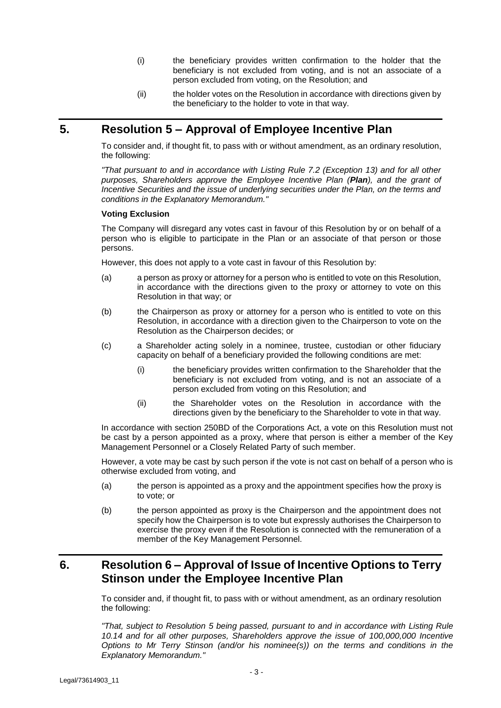- (i) the beneficiary provides written confirmation to the holder that the beneficiary is not excluded from voting, and is not an associate of a person excluded from voting, on the Resolution; and
- (ii) the holder votes on the Resolution in accordance with directions given by the beneficiary to the holder to vote in that way.

### <span id="page-3-0"></span>**5. Resolution 5 – Approval of Employee Incentive Plan**

To consider and, if thought fit, to pass with or without amendment, as an ordinary resolution, the following:

*"That pursuant to and in accordance with Listing Rule 7.2 (Exception 13) and for all other purposes, Shareholders approve the Employee Incentive Plan (Plan), and the grant of Incentive Securities and the issue of underlying securities under the Plan, on the terms and conditions in the Explanatory Memorandum."*

#### **Voting Exclusion**

The Company will disregard any votes cast in favour of this Resolution by or on behalf of a person who is eligible to participate in the Plan or an associate of that person or those persons.

However, this does not apply to a vote cast in favour of this Resolution by:

- (a) a person as proxy or attorney for a person who is entitled to vote on this Resolution, in accordance with the directions given to the proxy or attorney to vote on this Resolution in that way; or
- (b) the Chairperson as proxy or attorney for a person who is entitled to vote on this Resolution, in accordance with a direction given to the Chairperson to vote on the Resolution as the Chairperson decides; or
- (c) a Shareholder acting solely in a nominee, trustee, custodian or other fiduciary capacity on behalf of a beneficiary provided the following conditions are met:
	- (i) the beneficiary provides written confirmation to the Shareholder that the beneficiary is not excluded from voting, and is not an associate of a person excluded from voting on this Resolution; and
	- (ii) the Shareholder votes on the Resolution in accordance with the directions given by the beneficiary to the Shareholder to vote in that way.

In accordance with section 250BD of the Corporations Act, a vote on this Resolution must not be cast by a person appointed as a proxy, where that person is either a member of the Key Management Personnel or a Closely Related Party of such member.

However, a vote may be cast by such person if the vote is not cast on behalf of a person who is otherwise excluded from voting, and

- (a) the person is appointed as a proxy and the appointment specifies how the proxy is to vote; or
- (b) the person appointed as proxy is the Chairperson and the appointment does not specify how the Chairperson is to vote but expressly authorises the Chairperson to exercise the proxy even if the Resolution is connected with the remuneration of a member of the Key Management Personnel.

# <span id="page-3-1"></span>**6. Resolution 6 – Approval of Issue of Incentive Options to Terry Stinson under the Employee Incentive Plan**

To consider and, if thought fit, to pass with or without amendment, as an ordinary resolution the following:

*"That, subject to Resolution [5](#page-3-0) being passed, pursuant to and in accordance with Listing Rule 10.14 and for all other purposes, Shareholders approve the issue of 100,000,000 Incentive Options to Mr Terry Stinson (and/or his nominee(s)) on the terms and conditions in the Explanatory Memorandum."*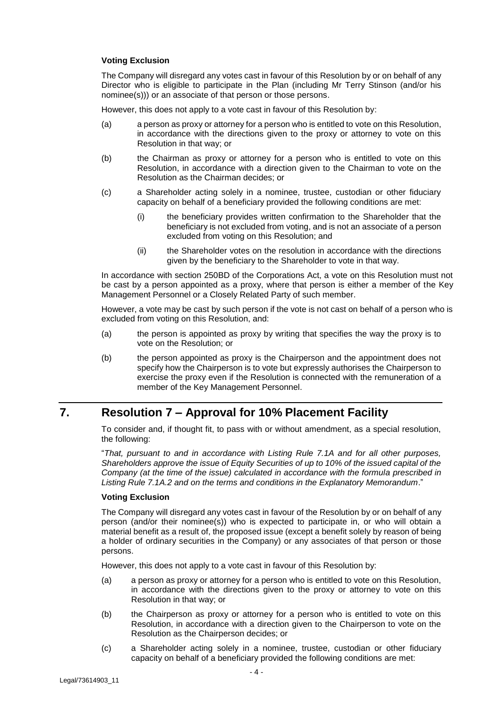#### **Voting Exclusion**

The Company will disregard any votes cast in favour of this Resolution by or on behalf of any Director who is eligible to participate in the Plan (including Mr Terry Stinson (and/or his nominee(s))) or an associate of that person or those persons.

However, this does not apply to a vote cast in favour of this Resolution by:

- (a) a person as proxy or attorney for a person who is entitled to vote on this Resolution, in accordance with the directions given to the proxy or attorney to vote on this Resolution in that way; or
- (b) the Chairman as proxy or attorney for a person who is entitled to vote on this Resolution, in accordance with a direction given to the Chairman to vote on the Resolution as the Chairman decides; or
- (c) a Shareholder acting solely in a nominee, trustee, custodian or other fiduciary capacity on behalf of a beneficiary provided the following conditions are met:
	- (i) the beneficiary provides written confirmation to the Shareholder that the beneficiary is not excluded from voting, and is not an associate of a person excluded from voting on this Resolution; and
	- (ii) the Shareholder votes on the resolution in accordance with the directions given by the beneficiary to the Shareholder to vote in that way.

In accordance with section 250BD of the Corporations Act, a vote on this Resolution must not be cast by a person appointed as a proxy, where that person is either a member of the Key Management Personnel or a Closely Related Party of such member.

However, a vote may be cast by such person if the vote is not cast on behalf of a person who is excluded from voting on this Resolution, and:

- (a) the person is appointed as proxy by writing that specifies the way the proxy is to vote on the Resolution; or
- (b) the person appointed as proxy is the Chairperson and the appointment does not specify how the Chairperson is to vote but expressly authorises the Chairperson to exercise the proxy even if the Resolution is connected with the remuneration of a member of the Key Management Personnel.

## <span id="page-4-0"></span>**7. Resolution 7 – Approval for 10% Placement Facility**

To consider and, if thought fit, to pass with or without amendment, as a special resolution, the following:

"*That, pursuant to and in accordance with Listing Rule 7.1A and for all other purposes, Shareholders approve the issue of Equity Securities of up to 10% of the issued capital of the Company (at the time of the issue) calculated in accordance with the formula prescribed in Listing Rule 7.1A.2 and on the terms and conditions in the Explanatory Memorandum*."

#### **Voting Exclusion**

The Company will disregard any votes cast in favour of the Resolution by or on behalf of any person (and/or their nominee(s)) who is expected to participate in, or who will obtain a material benefit as a result of, the proposed issue (except a benefit solely by reason of being a holder of ordinary securities in the Company) or any associates of that person or those persons.

However, this does not apply to a vote cast in favour of this Resolution by:

- (a) a person as proxy or attorney for a person who is entitled to vote on this Resolution, in accordance with the directions given to the proxy or attorney to vote on this Resolution in that way; or
- (b) the Chairperson as proxy or attorney for a person who is entitled to vote on this Resolution, in accordance with a direction given to the Chairperson to vote on the Resolution as the Chairperson decides; or
- (c) a Shareholder acting solely in a nominee, trustee, custodian or other fiduciary capacity on behalf of a beneficiary provided the following conditions are met: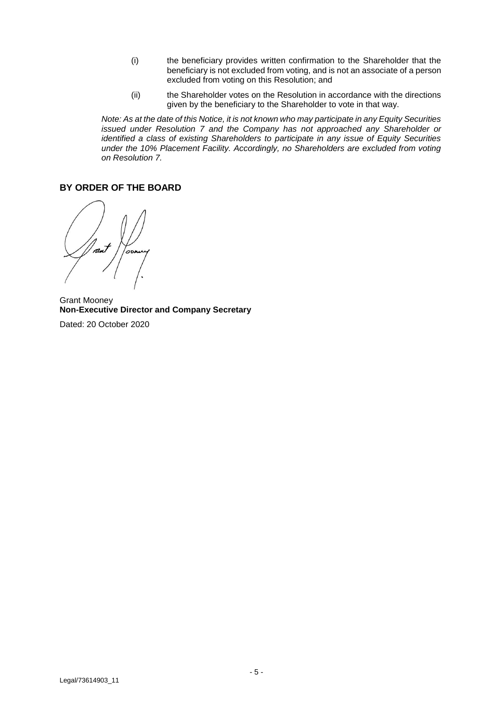- (i) the beneficiary provides written confirmation to the Shareholder that the beneficiary is not excluded from voting, and is not an associate of a person excluded from voting on this Resolution; and
- (ii) the Shareholder votes on the Resolution in accordance with the directions given by the beneficiary to the Shareholder to vote in that way.

*Note: As at the date of this Notice, it is not known who may participate in any Equity Securities issued under Resolution [7](#page-4-0) and the Company has not approached any Shareholder or identified a class of existing Shareholders to participate in any issue of Equity Securities under the 10% Placement Facility. Accordingly, no Shareholders are excluded from voting on Resolution [7.](#page-4-0)* 

### **BY ORDER OF THE BOARD**

 $\sim$ 

Grant Mooney **Non-Executive Director and Company Secretary** Dated: 20 October 2020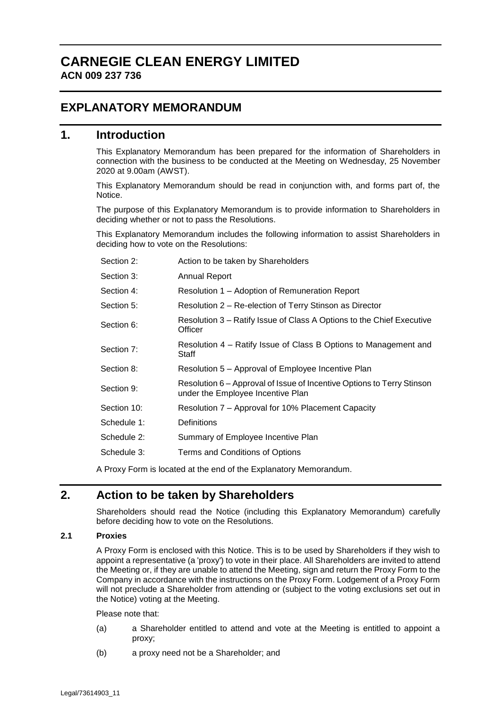# **CARNEGIE CLEAN ENERGY LIMITED ACN 009 237 736**

## **EXPLANATORY MEMORANDUM**

### **1. Introduction**

This Explanatory Memorandum has been prepared for the information of Shareholders in connection with the business to be conducted at the Meeting on Wednesday, 25 November 2020 at 9.00am (AWST).

This Explanatory Memorandum should be read in conjunction with, and forms part of, the Notice.

The purpose of this Explanatory Memorandum is to provide information to Shareholders in deciding whether or not to pass the Resolutions.

This Explanatory Memorandum includes the following information to assist Shareholders in deciding how to vote on the Resolutions:

| Section 2:  | Action to be taken by Shareholders                                                                          |
|-------------|-------------------------------------------------------------------------------------------------------------|
| Section 3:  | <b>Annual Report</b>                                                                                        |
| Section 4:  | Resolution 1 – Adoption of Remuneration Report                                                              |
| Section 5:  | Resolution 2 – Re-election of Terry Stinson as Director                                                     |
| Section 6:  | Resolution 3 – Ratify Issue of Class A Options to the Chief Executive<br>Officer                            |
| Section 7:  | Resolution 4 – Ratify Issue of Class B Options to Management and<br>Staff                                   |
| Section 8:  | Resolution 5 – Approval of Employee Incentive Plan                                                          |
| Section 9:  | Resolution 6 – Approval of Issue of Incentive Options to Terry Stinson<br>under the Employee Incentive Plan |
| Section 10: | Resolution 7 - Approval for 10% Placement Capacity                                                          |
| Schedule 1: | <b>Definitions</b>                                                                                          |
| Schedule 2: | Summary of Employee Incentive Plan                                                                          |
| Schedule 3: | Terms and Conditions of Options                                                                             |

A Proxy Form is located at the end of the Explanatory Memorandum.

## **2. Action to be taken by Shareholders**

Shareholders should read the Notice (including this Explanatory Memorandum) carefully before deciding how to vote on the Resolutions.

#### **2.1 Proxies**

A Proxy Form is enclosed with this Notice. This is to be used by Shareholders if they wish to appoint a representative (a 'proxy') to vote in their place. All Shareholders are invited to attend the Meeting or, if they are unable to attend the Meeting, sign and return the Proxy Form to the Company in accordance with the instructions on the Proxy Form. Lodgement of a Proxy Form will not preclude a Shareholder from attending or (subject to the voting exclusions set out in the Notice) voting at the Meeting.

Please note that:

- (a) a Shareholder entitled to attend and vote at the Meeting is entitled to appoint a proxy;
- (b) a proxy need not be a Shareholder; and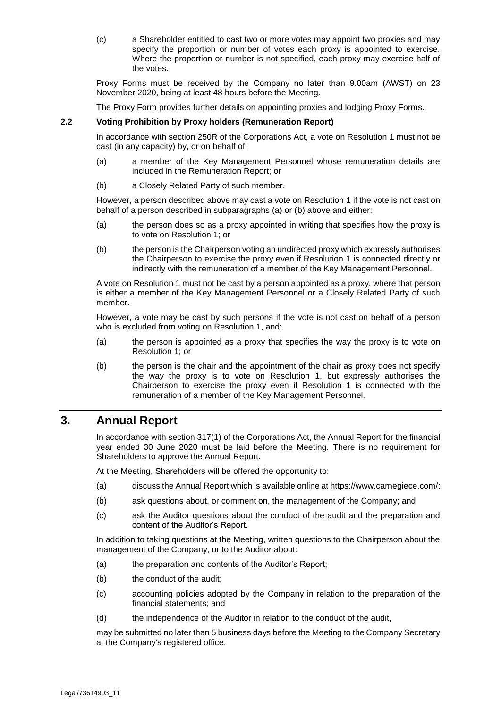(c) a Shareholder entitled to cast two or more votes may appoint two proxies and may specify the proportion or number of votes each proxy is appointed to exercise. Where the proportion or number is not specified, each proxy may exercise half of the votes.

Proxy Forms must be received by the Company no later than 9.00am (AWST) on 23 November 2020, being at least 48 hours before the Meeting.

The Proxy Form provides further details on appointing proxies and lodging Proxy Forms.

#### **2.2 Voting Prohibition by Proxy holders (Remuneration Report)**

In accordance with section 250R of the Corporations Act, a vote on Resolution [1](#page-1-0) must not be cast (in any capacity) by, or on behalf of:

- (a) a member of the Key Management Personnel whose remuneration details are included in the Remuneration Report; or
- (b) a Closely Related Party of such member.

However, a person described above may cast a vote on Resolution [1](#page-1-0) if the vote is not cast on behalf of a person described in subparagraphs (a) or (b) above and either:

- (a) the person does so as a proxy appointed in writing that specifies how the proxy is to vote on Resolution [1;](#page-1-0) or
- (b) the person is the Chairperson voting an undirected proxy which expressly authorises the Chairperson to exercise the proxy even if Resolution [1](#page-1-0) is connected directly or indirectly with the remuneration of a member of the Key Management Personnel.

A vote on Resolutio[n 1](#page-1-0) must not be cast by a person appointed as a proxy, where that person is either a member of the Key Management Personnel or a Closely Related Party of such member.

However, a vote may be cast by such persons if the vote is not cast on behalf of a person who is excluded from voting on Resolution [1,](#page-1-0) and:

- (a) the person is appointed as a proxy that specifies the way the proxy is to vote on Resolution [1;](#page-1-0) or
- (b) the person is the chair and the appointment of the chair as proxy does not specify the way the proxy is to vote on Resolution [1,](#page-1-0) but expressly authorises the Chairperson to exercise the proxy even if Resolution [1](#page-1-0) is connected with the remuneration of a member of the Key Management Personnel.

### **3. Annual Report**

In accordance with section 317(1) of the Corporations Act, the Annual Report for the financial year ended 30 June 2020 must be laid before the Meeting. There is no requirement for Shareholders to approve the Annual Report.

At the Meeting, Shareholders will be offered the opportunity to:

- (a) discuss the Annual Report which is available online at https://www.carnegiece.com/;
- (b) ask questions about, or comment on, the management of the Company; and
- (c) ask the Auditor questions about the conduct of the audit and the preparation and content of the Auditor's Report.

In addition to taking questions at the Meeting, written questions to the Chairperson about the management of the Company, or to the Auditor about:

- (a) the preparation and contents of the Auditor's Report;
- (b) the conduct of the audit;
- (c) accounting policies adopted by the Company in relation to the preparation of the financial statements; and
- (d) the independence of the Auditor in relation to the conduct of the audit,

may be submitted no later than 5 business days before the Meeting to the Company Secretary at the Company's registered office.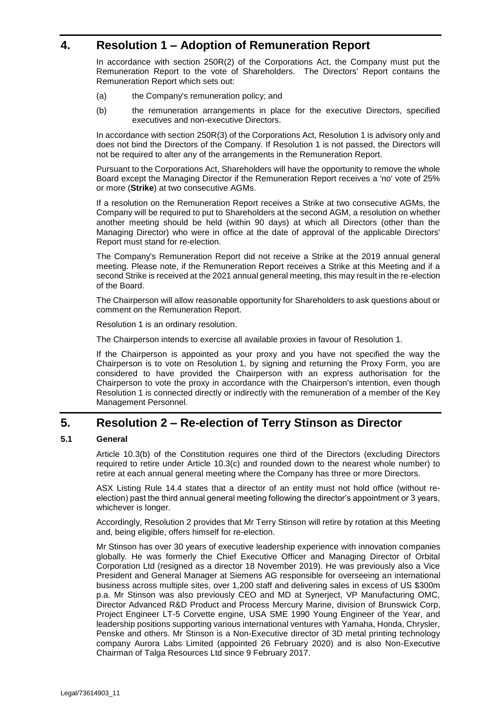## <span id="page-8-0"></span>**4. Resolution [1](#page-1-0) – Adoption of Remuneration Report**

In accordance with section 250R(2) of the Corporations Act, the Company must put the Remuneration Report to the vote of Shareholders. The Directors' Report contains the Remuneration Report which sets out:

- (a) the Company's remuneration policy; and
- (b) the remuneration arrangements in place for the executive Directors, specified executives and non-executive Directors.

In accordance with section 250R(3) of the Corporations Act, Resolutio[n 1](#page-1-0) is advisory only and does not bind the Directors of the Company. If Resolution [1](#page-1-0) is not passed, the Directors will not be required to alter any of the arrangements in the Remuneration Report.

Pursuant to the Corporations Act, Shareholders will have the opportunity to remove the whole Board except the Managing Director if the Remuneration Report receives a 'no' vote of 25% or more (**Strike**) at two consecutive AGMs.

If a resolution on the Remuneration Report receives a Strike at two consecutive AGMs, the Company will be required to put to Shareholders at the second AGM, a resolution on whether another meeting should be held (within 90 days) at which all Directors (other than the Managing Director) who were in office at the date of approval of the applicable Directors' Report must stand for re-election.

The Company's Remuneration Report did not receive a Strike at the 2019 annual general meeting. Please note, if the Remuneration Report receives a Strike at this Meeting and if a second Strike is received at the 2021 annual general meeting, this may result in the re-election of the Board.

The Chairperson will allow reasonable opportunity for Shareholders to ask questions about or comment on the Remuneration Report.

Resolution [1](#page-1-0) is an ordinary resolution.

The Chairperson intends to exercise all available proxies in favour of Resolution [1.](#page-1-0)

If the Chairperson is appointed as your proxy and you have not specified the way the Chairperson is to vote on Resolution [1,](#page-1-0) by signing and returning the Proxy Form, you are considered to have provided the Chairperson with an express authorisation for the Chairperson to vote the proxy in accordance with the Chairperson's intention, even though Resolution [1](#page-1-0) is connected directly or indirectly with the remuneration of a member of the Key Management Personnel.

### **5. Resolution [2](#page-1-1) – Re-election of Terry Stinson as Director**

#### **5.1 General**

Article 10.3(b) of the Constitution requires one third of the Directors (excluding Directors required to retire under Article 10.3(c) and rounded down to the nearest whole number) to retire at each annual general meeting where the Company has three or more Directors.

ASX Listing Rule 14.4 states that a director of an entity must not hold office (without reelection) past the third annual general meeting following the director's appointment or 3 years, whichever is longer.

Accordingly, Resolution [2](#page-1-1) provides that Mr Terry Stinson will retire by rotation at this Meeting and, being eligible, offers himself for re-election.

Mr Stinson has over 30 years of executive leadership experience with innovation companies globally. He was formerly the Chief Executive Officer and Managing Director of Orbital Corporation Ltd (resigned as a director 18 November 2019). He was previously also a Vice President and General Manager at Siemens AG responsible for overseeing an international business across multiple sites, over 1,200 staff and delivering sales in excess of US \$300m p.a. Mr Stinson was also previously CEO and MD at Synerject, VP Manufacturing OMC, Director Advanced R&D Product and Process Mercury Marine, division of Brunswick Corp, Project Engineer LT-5 Corvette engine, USA SME 1990 Young Engineer of the Year, and leadership positions supporting various international ventures with Yamaha, Honda, Chrysler, Penske and others. Mr Stinson is a Non-Executive director of 3D metal printing technology company Aurora Labs Limited (appointed 26 February 2020) and is also Non-Executive Chairman of Talga Resources Ltd since 9 February 2017.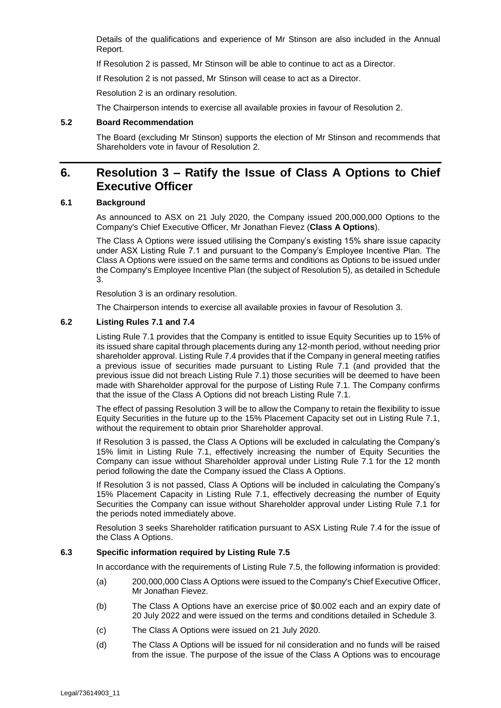Details of the qualifications and experience of Mr Stinson are also included in the Annual Report.

If Resolution 2 is passed, Mr Stinson will be able to continue to act as a Director.

If Resolution 2 is not passed, Mr Stinson will cease to act as a Director.

Resolution [2](#page-1-1) is an ordinary resolution.

The Chairperson intends to exercise all available proxies in favour of Resolution [2.](#page-1-1)

#### **5.2 Board Recommendation**

The Board (excluding Mr Stinson) supports the election of Mr Stinson and recommends that Shareholders vote in favour of Resolution [2.](#page-1-1)

### **6. Resolution [3](#page-2-0) – Ratify the Issue of Class A Options to Chief Executive Officer**

#### <span id="page-9-0"></span>**6.1 Background**

As announced to ASX on 21 July 2020, the Company issued 200,000,000 Options to the Company's Chief Executive Officer, Mr Jonathan Fievez (**Class A Options**).

The Class A Options were issued utilising the Company's existing 15% share issue capacity under ASX Listing Rule 7.1 and pursuant to the Company's Employee Incentive Plan. The Class A Options were issued on the same terms and conditions as Options to be issued under the Company's Employee Incentive Plan (the subject of Resolutio[n 5\)](#page-3-0), as detailed in Schedule 3.

Resolution [3](#page-2-0) is an ordinary resolution.

The Chairperson intends to exercise all available proxies in favour of Resolution 3.

#### **6.2 Listing Rules 7.1 and 7.4**

Listing Rule 7.1 provides that the Company is entitled to issue Equity Securities up to 15% of its issued share capital through placements during any 12-month period, without needing prior shareholder approval. Listing Rule 7.4 provides that if the Company in general meeting ratifies a previous issue of securities made pursuant to Listing Rule 7.1 (and provided that the previous issue did not breach Listing Rule 7.1) those securities will be deemed to have been made with Shareholder approval for the purpose of Listing Rule 7.1. The Company confirms that the issue of the Class A Options did not breach Listing Rule 7.1.

The effect of passing Resolutio[n 3](#page-2-0) will be to allow the Company to retain the flexibility to issue Equity Securities in the future up to the 15% Placement Capacity set out in Listing Rule 7.1, without the requirement to obtain prior Shareholder approval.

If Resolution [3](#page-2-0) is passed, the Class A Options will be excluded in calculating the Company's 15% limit in Listing Rule 7.1, effectively increasing the number of Equity Securities the Company can issue without Shareholder approval under Listing Rule 7.1 for the 12 month period following the date the Company issued the Class A Options.

If Resolution [3](#page-2-0) is not passed, Class A Options will be included in calculating the Company's 15% Placement Capacity in Listing Rule 7.1, effectively decreasing the number of Equity Securities the Company can issue without Shareholder approval under Listing Rule 7.1 for the periods noted immediately above.

Resolution [3](#page-2-0) seeks Shareholder ratification pursuant to ASX Listing Rule 7.4 for the issue of the Class A Options.

#### **6.3 Specific information required by Listing Rule 7.5**

In accordance with the requirements of Listing Rule 7.5, the following information is provided:

- (a) 200,000,000 Class A Options were issued to the Company's Chief Executive Officer, Mr Jonathan Fievez.
- (b) The Class A Options have an exercise price of \$0.002 each and an expiry date of 20 July 2022 and were issued on the terms and conditions detailed in Schedule 3.
- (c) The Class A Options were issued on 21 July 2020.
- (d) The Class A Options will be issued for nil consideration and no funds will be raised from the issue. The purpose of the issue of the Class A Options was to encourage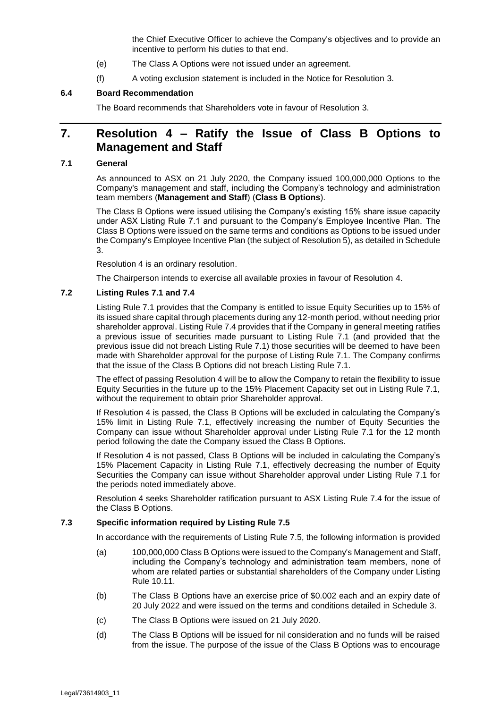the Chief Executive Officer to achieve the Company's objectives and to provide an incentive to perform his duties to that end.

- (e) The Class A Options were not issued under an agreement.
- (f) A voting exclusion statement is included in the Notice for Resolution [3.](#page-2-0)

#### **6.4 Board Recommendation**

The Board recommends that Shareholders vote in favour of Resolution [3.](#page-2-0)

### **7. Resolution [4](#page-2-1) – Ratify the Issue of Class B Options to Management and Staff**

#### <span id="page-10-0"></span>**7.1 General**

As announced to ASX on 21 July 2020, the Company issued 100,000,000 Options to the Company's management and staff, including the Company's technology and administration team members (**Management and Staff**) (**Class B Options**).

The Class B Options were issued utilising the Company's existing 15% share issue capacity under ASX Listing Rule 7.1 and pursuant to the Company's Employee Incentive Plan. The Class B Options were issued on the same terms and conditions as Options to be issued under the Company's Employee Incentive Plan (the subject of Resolutio[n 5\)](#page-3-0), as detailed in Schedule 3.

Resolution [4](#page-2-1) is an ordinary resolution.

The Chairperson intends to exercise all available proxies in favour of Resolution [4.](#page-2-1)

#### **7.2 Listing Rules 7.1 and 7.4**

Listing Rule 7.1 provides that the Company is entitled to issue Equity Securities up to 15% of its issued share capital through placements during any 12-month period, without needing prior shareholder approval. Listing Rule 7.4 provides that if the Company in general meeting ratifies a previous issue of securities made pursuant to Listing Rule 7.1 (and provided that the previous issue did not breach Listing Rule 7.1) those securities will be deemed to have been made with Shareholder approval for the purpose of Listing Rule 7.1. The Company confirms that the issue of the Class B Options did not breach Listing Rule 7.1.

The effect of passing Resolutio[n 4](#page-2-1) will be to allow the Company to retain the flexibility to issue Equity Securities in the future up to the 15% Placement Capacity set out in Listing Rule 7.1, without the requirement to obtain prior Shareholder approval.

If Resolution [4](#page-2-1) is passed, the Class B Options will be excluded in calculating the Company's 15% limit in Listing Rule 7.1, effectively increasing the number of Equity Securities the Company can issue without Shareholder approval under Listing Rule 7.1 for the 12 month period following the date the Company issued the Class B Options.

If Resolution [4](#page-2-1) is not passed, Class B Options will be included in calculating the Company's 15% Placement Capacity in Listing Rule 7.1, effectively decreasing the number of Equity Securities the Company can issue without Shareholder approval under Listing Rule 7.1 for the periods noted immediately above.

Resolution [4](#page-2-1) seeks Shareholder ratification pursuant to ASX Listing Rule 7.4 for the issue of the Class B Options.

### **7.3 Specific information required by Listing Rule 7.5**

In accordance with the requirements of Listing Rule 7.5, the following information is provided

- (a) 100,000,000 Class B Options were issued to the Company's Management and Staff, including the Company's technology and administration team members, none of whom are related parties or substantial shareholders of the Company under Listing Rule 10.11.
- (b) The Class B Options have an exercise price of \$0.002 each and an expiry date of 20 July 2022 and were issued on the terms and conditions detailed in Schedule 3.
- (c) The Class B Options were issued on 21 July 2020.
- (d) The Class B Options will be issued for nil consideration and no funds will be raised from the issue. The purpose of the issue of the Class B Options was to encourage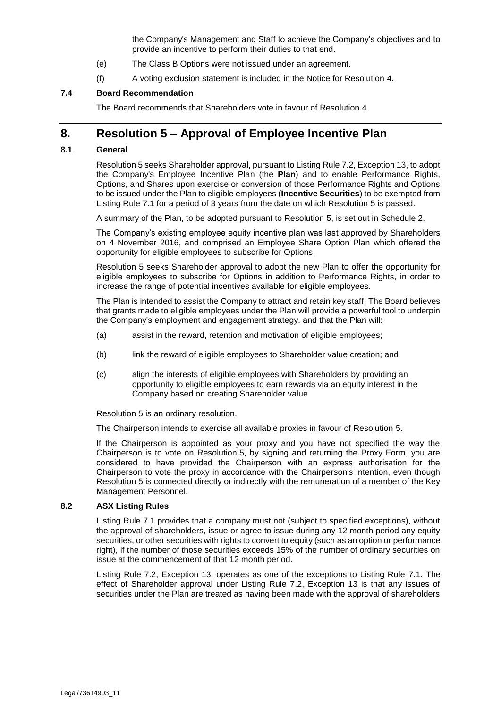the Company's Management and Staff to achieve the Company's objectives and to provide an incentive to perform their duties to that end.

- (e) The Class B Options were not issued under an agreement.
- (f) A voting exclusion statement is included in the Notice for Resolution [4.](#page-2-1)

#### **7.4 Board Recommendation**

The Board recommends that Shareholders vote in favour of Resolution [4.](#page-2-1)

### **8. Resolution [5](#page-3-0) – Approval of Employee Incentive Plan**

#### <span id="page-11-0"></span>**8.1 General**

Resolution [5](#page-3-0) seeks Shareholder approval, pursuant to Listing Rule 7.2, Exception 13, to adopt the Company's Employee Incentive Plan (the **Plan**) and to enable Performance Rights, Options, and Shares upon exercise or conversion of those Performance Rights and Options to be issued under the Plan to eligible employees (**Incentive Securities**) to be exempted from Listing Rule 7.1 for a period of 3 years from the date on which Resolution [5](#page-3-0) is passed.

A summary of the Plan, to be adopted pursuant to Resolution [5,](#page-3-0) is set out in Schedule 2.

The Company's existing employee equity incentive plan was last approved by Shareholders on 4 November 2016, and comprised an Employee Share Option Plan which offered the opportunity for eligible employees to subscribe for Options.

Resolution [5](#page-3-0) seeks Shareholder approval to adopt the new Plan to offer the opportunity for eligible employees to subscribe for Options in addition to Performance Rights, in order to increase the range of potential incentives available for eligible employees.

The Plan is intended to assist the Company to attract and retain key staff. The Board believes that grants made to eligible employees under the Plan will provide a powerful tool to underpin the Company's employment and engagement strategy, and that the Plan will:

- (a) assist in the reward, retention and motivation of eligible employees;
- (b) link the reward of eligible employees to Shareholder value creation; and
- (c) align the interests of eligible employees with Shareholders by providing an opportunity to eligible employees to earn rewards via an equity interest in the Company based on creating Shareholder value.

Resolution [5](#page-3-0) is an ordinary resolution.

The Chairperson intends to exercise all available proxies in favour of Resolution [5.](#page-3-0)

If the Chairperson is appointed as your proxy and you have not specified the way the Chairperson is to vote on Resolution [5,](#page-3-0) by signing and returning the Proxy Form, you are considered to have provided the Chairperson with an express authorisation for the Chairperson to vote the proxy in accordance with the Chairperson's intention, even though Resolution [5](#page-3-0) is connected directly or indirectly with the remuneration of a member of the Key Management Personnel.

#### **8.2 ASX Listing Rules**

Listing Rule 7.1 provides that a company must not (subject to specified exceptions), without the approval of shareholders, issue or agree to issue during any 12 month period any equity securities, or other securities with rights to convert to equity (such as an option or performance right), if the number of those securities exceeds 15% of the number of ordinary securities on issue at the commencement of that 12 month period.

Listing Rule 7.2, Exception 13, operates as one of the exceptions to Listing Rule 7.1. The effect of Shareholder approval under Listing Rule 7.2, Exception 13 is that any issues of securities under the Plan are treated as having been made with the approval of shareholders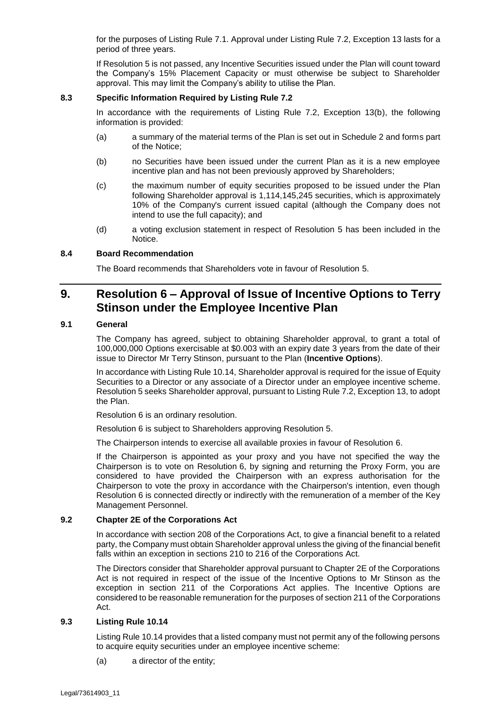for the purposes of Listing Rule 7.1. Approval under Listing Rule 7.2, Exception 13 lasts for a period of three years.

If Resolution [5](#page-3-0) is not passed, any Incentive Securities issued under the Plan will count toward the Company's 15% Placement Capacity or must otherwise be subject to Shareholder approval. This may limit the Company's ability to utilise the Plan.

#### **8.3 Specific Information Required by Listing Rule 7.2**

In accordance with the requirements of Listing Rule 7.2, Exception 13(b), the following information is provided:

- (a) a summary of the material terms of the Plan is set out in Schedule 2 and forms part of the Notice;
- (b) no Securities have been issued under the current Plan as it is a new employee incentive plan and has not been previously approved by Shareholders;
- (c) the maximum number of equity securities proposed to be issued under the Plan following Shareholder approval is 1,114,145,245 securities, which is approximately 10% of the Company's current issued capital (although the Company does not intend to use the full capacity); and
- (d) a voting exclusion statement in respect of Resolution [5](#page-3-0) has been included in the Notice.

#### **8.4 Board Recommendation**

The Board recommends that Shareholders vote in favour of Resolution [5.](#page-3-0)

### **9. Resolution [6](#page-3-1) – Approval of Issue of Incentive Options to Terry Stinson under the Employee Incentive Plan**

#### <span id="page-12-0"></span>**9.1 General**

The Company has agreed, subject to obtaining Shareholder approval, to grant a total of 100,000,000 Options exercisable at \$0.003 with an expiry date 3 years from the date of their issue to Director Mr Terry Stinson, pursuant to the Plan (**Incentive Options**).

In accordance with Listing Rule 10.14, Shareholder approval is required for the issue of Equity Securities to a Director or any associate of a Director under an employee incentive scheme. Resolution [5](#page-3-0) seeks Shareholder approval, pursuant to Listing Rule 7.2, Exception 13, to adopt the Plan.

Resolution [6](#page-3-1) is an ordinary resolution.

Resolution [6](#page-3-1) is subject to Shareholders approving Resolution [5.](#page-3-0)

The Chairperson intends to exercise all available proxies in favour of Resolution [6.](#page-3-1)

If the Chairperson is appointed as your proxy and you have not specified the way the Chairperson is to vote on Resolution [6,](#page-3-1) by signing and returning the Proxy Form, you are considered to have provided the Chairperson with an express authorisation for the Chairperson to vote the proxy in accordance with the Chairperson's intention, even though Resolution [6](#page-3-1) is connected directly or indirectly with the remuneration of a member of the Key Management Personnel.

#### **9.2 Chapter 2E of the Corporations Act**

In accordance with section 208 of the Corporations Act, to give a financial benefit to a related party, the Company must obtain Shareholder approval unless the giving of the financial benefit falls within an exception in sections 210 to 216 of the Corporations Act.

The Directors consider that Shareholder approval pursuant to Chapter 2E of the Corporations Act is not required in respect of the issue of the Incentive Options to Mr Stinson as the exception in section 211 of the Corporations Act applies. The Incentive Options are considered to be reasonable remuneration for the purposes of section 211 of the Corporations Act.

#### **9.3 Listing Rule 10.14**

Listing Rule 10.14 provides that a listed company must not permit any of the following persons to acquire equity securities under an employee incentive scheme:

(a) a director of the entity;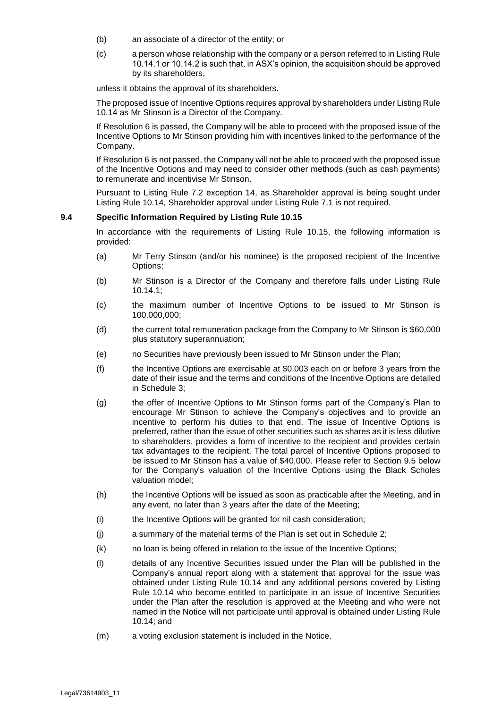- (b) an associate of a director of the entity; or
- (c) a person whose relationship with the company or a person referred to in Listing Rule 10.14.1 or 10.14.2 is such that, in ASX's opinion, the acquisition should be approved by its shareholders,

unless it obtains the approval of its shareholders.

The proposed issue of Incentive Options requires approval by shareholders under Listing Rule 10.14 as Mr Stinson is a Director of the Company.

If Resolution [6](#page-3-1) is passed, the Company will be able to proceed with the proposed issue of the Incentive Options to Mr Stinson providing him with incentives linked to the performance of the Company.

If Resolution [6](#page-3-1) is not passed, the Company will not be able to proceed with the proposed issue of the Incentive Options and may need to consider other methods (such as cash payments) to remunerate and incentivise Mr Stinson.

Pursuant to Listing Rule 7.2 exception 14, as Shareholder approval is being sought under Listing Rule 10.14, Shareholder approval under Listing Rule 7.1 is not required.

#### **9.4 Specific Information Required by Listing Rule 10.15**

In accordance with the requirements of Listing Rule 10.15, the following information is provided:

- (a) Mr Terry Stinson (and/or his nominee) is the proposed recipient of the Incentive Options;
- (b) Mr Stinson is a Director of the Company and therefore falls under Listing Rule 10.14.1;
- (c) the maximum number of Incentive Options to be issued to Mr Stinson is 100,000,000;
- (d) the current total remuneration package from the Company to Mr Stinson is \$60,000 plus statutory superannuation;
- (e) no Securities have previously been issued to Mr Stinson under the Plan;
- (f) the Incentive Options are exercisable at \$0.003 each on or before 3 years from the date of their issue and the terms and conditions of the Incentive Options are detailed in Schedule 3;
- (g) the offer of Incentive Options to Mr Stinson forms part of the Company's Plan to encourage Mr Stinson to achieve the Company's objectives and to provide an incentive to perform his duties to that end. The issue of Incentive Options is preferred, rather than the issue of other securities such as shares as it is less dilutive to shareholders, provides a form of incentive to the recipient and provides certain tax advantages to the recipient. The total parcel of Incentive Options proposed to be issued to Mr Stinson has a value of \$40,000. Please refer to Section [9.5](#page-14-0) below for the Company's valuation of the Incentive Options using the Black Scholes valuation model;
- (h) the Incentive Options will be issued as soon as practicable after the Meeting, and in any event, no later than 3 years after the date of the Meeting;
- (i) the Incentive Options will be granted for nil cash consideration;
- (j) a summary of the material terms of the Plan is set out in Schedule 2;
- (k) no loan is being offered in relation to the issue of the Incentive Options;
- (l) details of any Incentive Securities issued under the Plan will be published in the Company's annual report along with a statement that approval for the issue was obtained under Listing Rule 10.14 and any additional persons covered by Listing Rule 10.14 who become entitled to participate in an issue of Incentive Securities under the Plan after the resolution is approved at the Meeting and who were not named in the Notice will not participate until approval is obtained under Listing Rule 10.14; and
- (m) a voting exclusion statement is included in the Notice.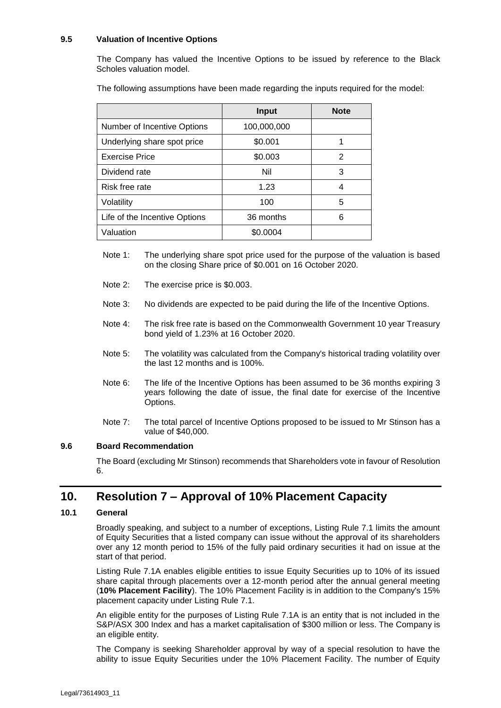#### <span id="page-14-0"></span>**9.5 Valuation of Incentive Options**

The Company has valued the Incentive Options to be issued by reference to the Black Scholes valuation model.

The following assumptions have been made regarding the inputs required for the model:

|                               | <b>Input</b> | <b>Note</b> |
|-------------------------------|--------------|-------------|
| Number of Incentive Options   | 100,000,000  |             |
| Underlying share spot price   | \$0.001      |             |
| <b>Exercise Price</b>         | \$0.003      | 2           |
| Dividend rate                 | Nil          | 3           |
| Risk free rate                | 1.23         | 4           |
| Volatility                    | 100          | 5           |
| Life of the Incentive Options | 36 months    | 6           |
| Valuation                     | \$0.0004     |             |

- Note 1: The underlying share spot price used for the purpose of the valuation is based on the closing Share price of \$0.001 on 16 October 2020.
- Note 2: The exercise price is \$0.003.
- Note 3: No dividends are expected to be paid during the life of the Incentive Options.
- Note 4: The risk free rate is based on the Commonwealth Government 10 year Treasury bond yield of 1.23% at 16 October 2020.
- Note 5: The volatility was calculated from the Company's historical trading volatility over the last 12 months and is 100%.
- Note 6: The life of the Incentive Options has been assumed to be 36 months expiring 3 years following the date of issue, the final date for exercise of the Incentive Options.
- Note 7: The total parcel of Incentive Options proposed to be issued to Mr Stinson has a value of \$40,000.

#### **9.6 Board Recommendation**

The Board (excluding Mr Stinson) recommends that Shareholders vote in favour of Resolution [6.](#page-3-1)

### **10. Resolution [7](#page-4-0) – Approval of 10% Placement Capacity**

#### <span id="page-14-1"></span>**10.1 General**

Broadly speaking, and subject to a number of exceptions, Listing Rule 7.1 limits the amount of Equity Securities that a listed company can issue without the approval of its shareholders over any 12 month period to 15% of the fully paid ordinary securities it had on issue at the start of that period.

Listing Rule 7.1A enables eligible entities to issue Equity Securities up to 10% of its issued share capital through placements over a 12-month period after the annual general meeting (**10% Placement Facility**). The 10% Placement Facility is in addition to the Company's 15% placement capacity under Listing Rule 7.1.

An eligible entity for the purposes of Listing Rule 7.1A is an entity that is not included in the S&P/ASX 300 Index and has a market capitalisation of \$300 million or less. The Company is an eligible entity.

The Company is seeking Shareholder approval by way of a special resolution to have the ability to issue Equity Securities under the 10% Placement Facility. The number of Equity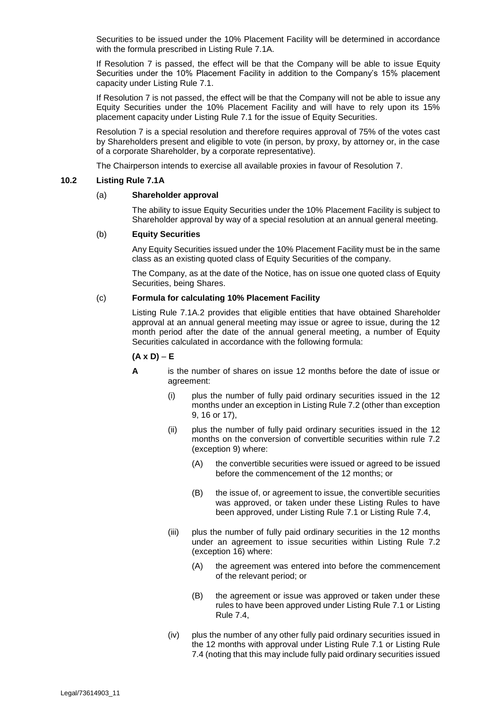Securities to be issued under the 10% Placement Facility will be determined in accordance with the formula prescribed in Listing Rule 7.1A.

If Resolution [7](#page-4-0) is passed, the effect will be that the Company will be able to issue Equity Securities under the 10% Placement Facility in addition to the Company's 15% placement capacity under Listing Rule 7.1.

If Resolution [7](#page-4-0) is not passed, the effect will be that the Company will not be able to issue any Equity Securities under the 10% Placement Facility and will have to rely upon its 15% placement capacity under Listing Rule 7.1 for the issue of Equity Securities.

Resolution [7](#page-4-0) is a special resolution and therefore requires approval of 75% of the votes cast by Shareholders present and eligible to vote (in person, by proxy, by attorney or, in the case of a corporate Shareholder, by a corporate representative).

The Chairperson intends to exercise all available proxies in favour of Resolution [7.](#page-4-0)

### <span id="page-15-0"></span>**10.2 Listing Rule 7.1A**

#### (a) **Shareholder approval**

The ability to issue Equity Securities under the 10% Placement Facility is subject to Shareholder approval by way of a special resolution at an annual general meeting.

#### (b) **Equity Securities**

Any Equity Securities issued under the 10% Placement Facility must be in the same class as an existing quoted class of Equity Securities of the company.

The Company, as at the date of the Notice, has on issue one quoted class of Equity Securities, being Shares.

#### <span id="page-15-1"></span>(c) **Formula for calculating 10% Placement Facility**

Listing Rule 7.1A.2 provides that eligible entities that have obtained Shareholder approval at an annual general meeting may issue or agree to issue, during the 12 month period after the date of the annual general meeting, a number of Equity Securities calculated in accordance with the following formula:

#### $(A \times D) - E$

- **A** is the number of shares on issue 12 months before the date of issue or agreement:
	- (i) plus the number of fully paid ordinary securities issued in the 12 months under an exception in Listing Rule 7.2 (other than exception 9, 16 or 17),
	- (ii) plus the number of fully paid ordinary securities issued in the 12 months on the conversion of convertible securities within rule 7.2 (exception 9) where:
		- (A) the convertible securities were issued or agreed to be issued before the commencement of the 12 months; or
		- (B) the issue of, or agreement to issue, the convertible securities was approved, or taken under these Listing Rules to have been approved, under Listing Rule 7.1 or Listing Rule 7.4,
	- (iii) plus the number of fully paid ordinary securities in the 12 months under an agreement to issue securities within Listing Rule 7.2 (exception 16) where:
		- (A) the agreement was entered into before the commencement of the relevant period; or
		- (B) the agreement or issue was approved or taken under these rules to have been approved under Listing Rule 7.1 or Listing Rule 7.4,
	- (iv) plus the number of any other fully paid ordinary securities issued in the 12 months with approval under Listing Rule 7.1 or Listing Rule 7.4 (noting that this may include fully paid ordinary securities issued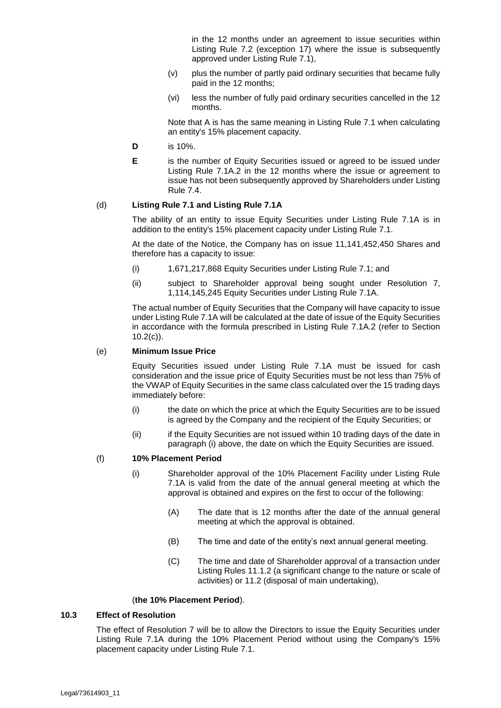in the 12 months under an agreement to issue securities within Listing Rule 7.2 (exception 17) where the issue is subsequently approved under Listing Rule 7.1),

- (v) plus the number of partly paid ordinary securities that became fully paid in the 12 months;
- (vi) less the number of fully paid ordinary securities cancelled in the 12 months.

Note that A is has the same meaning in Listing Rule 7.1 when calculating an entity's 15% placement capacity.

- **D** is 10%.
- **E** is the number of Equity Securities issued or agreed to be issued under Listing Rule 7.1A.2 in the 12 months where the issue or agreement to issue has not been subsequently approved by Shareholders under Listing Rule 7.4.

#### (d) **Listing Rule 7.1 and Listing Rule 7.1A**

The ability of an entity to issue Equity Securities under Listing Rule 7.1A is in addition to the entity's 15% placement capacity under Listing Rule 7.1.

At the date of the Notice, the Company has on issue 11,141,452,450 Shares and therefore has a capacity to issue:

- (i) 1,671,217,868 Equity Securities under Listing Rule 7.1; and
- (ii) subject to Shareholder approval being sought under Resolution [7,](#page-4-0) 1,114,145,245 Equity Securities under Listing Rule 7.1A.

The actual number of Equity Securities that the Company will have capacity to issue under Listing Rule 7.1A will be calculated at the date of issue of the Equity Securities in accordance with the formula prescribed in Listing Rule 7.1A.2 (refer to Section  $10.2(c)$  $10.2(c)$ ).

#### (e) **Minimum Issue Price**

Equity Securities issued under Listing Rule 7.1A must be issued for cash consideration and the issue price of Equity Securities must be not less than 75% of the VWAP of Equity Securities in the same class calculated over the 15 trading days immediately before:

- (i) the date on which the price at which the Equity Securities are to be issued is agreed by the Company and the recipient of the Equity Securities; or
- (ii) if the Equity Securities are not issued within 10 trading days of the date in paragraph (i) above, the date on which the Equity Securities are issued.

#### <span id="page-16-0"></span>(f) **10% Placement Period**

- (i) Shareholder approval of the 10% Placement Facility under Listing Rule 7.1A is valid from the date of the annual general meeting at which the approval is obtained and expires on the first to occur of the following:
	- (A) The date that is 12 months after the date of the annual general meeting at which the approval is obtained.
	- (B) The time and date of the entity's next annual general meeting.
	- (C) The time and date of Shareholder approval of a transaction under Listing Rules 11.1.2 (a significant change to the nature or scale of activities) or 11.2 (disposal of main undertaking),

#### (**the 10% Placement Period**).

#### **10.3 Effect of Resolution**

The effect of Resolution [7](#page-4-0) will be to allow the Directors to issue the Equity Securities under Listing Rule 7.1A during the 10% Placement Period without using the Company's 15% placement capacity under Listing Rule 7.1.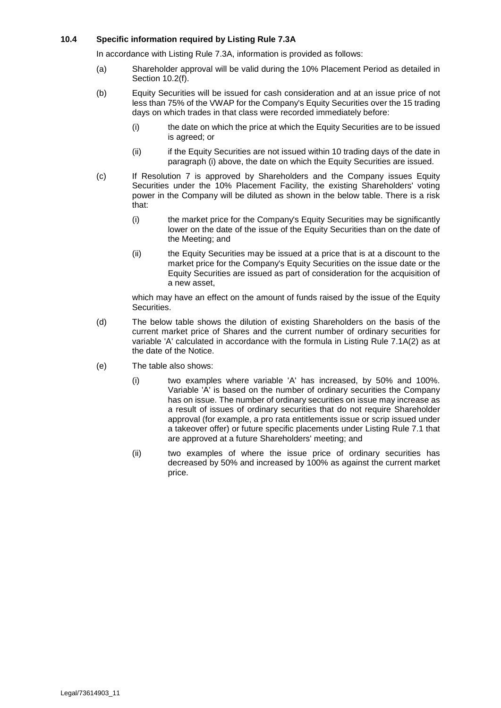#### **10.4 Specific information required by Listing Rule 7.3A**

In accordance with Listing Rule 7.3A, information is provided as follows:

- (a) Shareholder approval will be valid during the 10% Placement Period as detailed in Section [10.2](#page-15-0)[\(f\).](#page-16-0)
- (b) Equity Securities will be issued for cash consideration and at an issue price of not less than 75% of the VWAP for the Company's Equity Securities over the 15 trading days on which trades in that class were recorded immediately before:
	- (i) the date on which the price at which the Equity Securities are to be issued is agreed; or
	- (ii) if the Equity Securities are not issued within 10 trading days of the date in paragraph (i) above, the date on which the Equity Securities are issued.
- (c) If Resolution [7](#page-4-0) is approved by Shareholders and the Company issues Equity Securities under the 10% Placement Facility, the existing Shareholders' voting power in the Company will be diluted as shown in the below table. There is a risk that:
	- (i) the market price for the Company's Equity Securities may be significantly lower on the date of the issue of the Equity Securities than on the date of the Meeting; and
	- (ii) the Equity Securities may be issued at a price that is at a discount to the market price for the Company's Equity Securities on the issue date or the Equity Securities are issued as part of consideration for the acquisition of a new asset,

which may have an effect on the amount of funds raised by the issue of the Equity Securities.

- (d) The below table shows the dilution of existing Shareholders on the basis of the current market price of Shares and the current number of ordinary securities for variable 'A' calculated in accordance with the formula in Listing Rule 7.1A(2) as at the date of the Notice.
- (e) The table also shows:
	- (i) two examples where variable 'A' has increased, by 50% and 100%. Variable 'A' is based on the number of ordinary securities the Company has on issue. The number of ordinary securities on issue may increase as a result of issues of ordinary securities that do not require Shareholder approval (for example, a pro rata entitlements issue or scrip issued under a takeover offer) or future specific placements under Listing Rule 7.1 that are approved at a future Shareholders' meeting; and
	- (ii) two examples of where the issue price of ordinary securities has decreased by 50% and increased by 100% as against the current market price.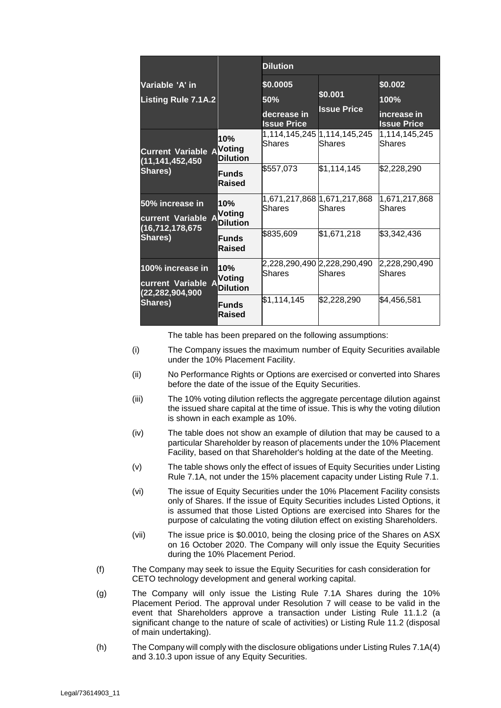|                                                                                       |                                         | <b>Dilution</b>                                      |                                        |                                                      |  |
|---------------------------------------------------------------------------------------|-----------------------------------------|------------------------------------------------------|----------------------------------------|------------------------------------------------------|--|
| Variable 'A' in<br><b>Listing Rule 7.1A.2</b>                                         |                                         | \$0.0005<br>50%<br>decrease in<br><b>Issue Price</b> | \$0.001<br><b>Issue Price</b>          | \$0.002<br>100%<br>increase in<br><b>Issue Price</b> |  |
| <b>Current Variable AVoting</b><br>(11, 141, 452, 450)<br><b>Shares)</b>              | 10%<br>Dilution                         | lShares                                              | 1,114,145,245 1,114,145,245<br>lShares | 1,114,145,245<br><b>Shares</b>                       |  |
|                                                                                       | <b>Funds</b><br>Raised                  | \$557,073                                            | \$1,114,145                            | \$2,228,290                                          |  |
| <b>50% increase in</b><br>current Variable A<br>(16, 712, 178, 675)<br><b>Shares)</b> | 10%<br><b>Voting</b><br><b>Dilution</b> | lShares                                              | lShares                                | 1,671,217,868<br><b>Shares</b>                       |  |
|                                                                                       | <b>Funds</b><br>Raised                  | \$835,609                                            | \$1,671,218                            | \$3,342,436                                          |  |
| 100% increase in<br>current Variable A<br>(22,282,904,900<br><b>Shares)</b>           | 10%<br>Voting<br>Dilution               | lShares                                              | 2,228,290,490 2,228,290,490<br>lShares | 2,228,290,490<br>Shares                              |  |
|                                                                                       | <b>Funds</b><br>Raised                  | \$1,114,145                                          | \$2,228,290                            | \$4,456,581                                          |  |

The table has been prepared on the following assumptions:

- (i) The Company issues the maximum number of Equity Securities available under the 10% Placement Facility.
- (ii) No Performance Rights or Options are exercised or converted into Shares before the date of the issue of the Equity Securities.
- (iii) The 10% voting dilution reflects the aggregate percentage dilution against the issued share capital at the time of issue. This is why the voting dilution is shown in each example as 10%.
- (iv) The table does not show an example of dilution that may be caused to a particular Shareholder by reason of placements under the 10% Placement Facility, based on that Shareholder's holding at the date of the Meeting.
- (v) The table shows only the effect of issues of Equity Securities under Listing Rule 7.1A, not under the 15% placement capacity under Listing Rule 7.1.
- (vi) The issue of Equity Securities under the 10% Placement Facility consists only of Shares. If the issue of Equity Securities includes Listed Options, it is assumed that those Listed Options are exercised into Shares for the purpose of calculating the voting dilution effect on existing Shareholders.
- (vii) The issue price is \$0.0010, being the closing price of the Shares on ASX on 16 October 2020. The Company will only issue the Equity Securities during the 10% Placement Period.
- (f) The Company may seek to issue the Equity Securities for cash consideration for CETO technology development and general working capital.
- (g) The Company will only issue the Listing Rule 7.1A Shares during the 10% Placement Period. The approval under Resolution [7](#page-4-0) will cease to be valid in the event that Shareholders approve a transaction under Listing Rule 11.1.2 (a significant change to the nature of scale of activities) or Listing Rule 11.2 (disposal of main undertaking).
- (h) The Company will comply with the disclosure obligations under Listing Rules 7.1A(4) and 3.10.3 upon issue of any Equity Securities.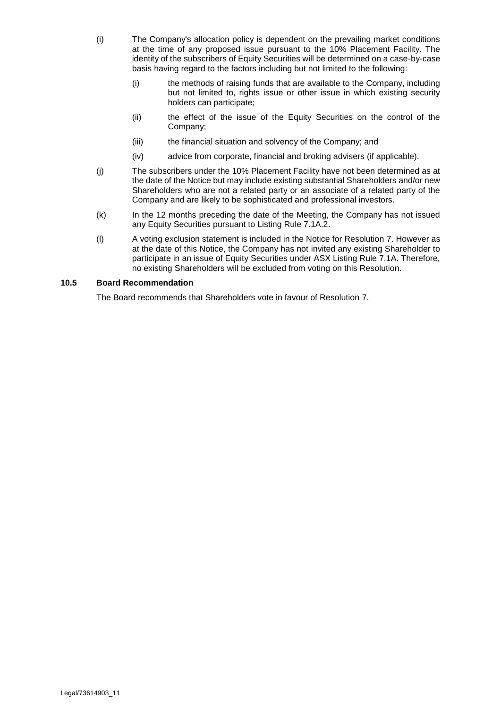- (i) The Company's allocation policy is dependent on the prevailing market conditions at the time of any proposed issue pursuant to the 10% Placement Facility. The identity of the subscribers of Equity Securities will be determined on a case-by-case basis having regard to the factors including but not limited to the following:
	- (i) the methods of raising funds that are available to the Company, including but not limited to, rights issue or other issue in which existing security holders can participate;
	- (ii) the effect of the issue of the Equity Securities on the control of the Company;
	- (iii) the financial situation and solvency of the Company; and
	- (iv) advice from corporate, financial and broking advisers (if applicable).
- (j) The subscribers under the 10% Placement Facility have not been determined as at the date of the Notice but may include existing substantial Shareholders and/or new Shareholders who are not a related party or an associate of a related party of the Company and are likely to be sophisticated and professional investors.
- (k) In the 12 months preceding the date of the Meeting, the Company has not issued any Equity Securities pursuant to Listing Rule 7.1A.2.
- (l) A voting exclusion statement is included in the Notice for Resolution [7.](#page-4-0) However as at the date of this Notice, the Company has not invited any existing Shareholder to participate in an issue of Equity Securities under ASX Listing Rule 7.1A. Therefore, no existing Shareholders will be excluded from voting on this Resolution.

#### **10.5 Board Recommendation**

The Board recommends that Shareholders vote in favour of Resolution [7.](#page-4-0)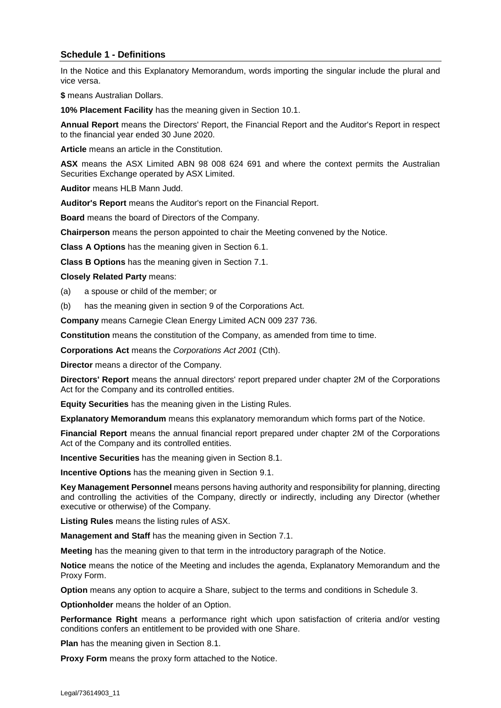### **Schedule 1 - Definitions**

In the Notice and this Explanatory Memorandum, words importing the singular include the plural and vice versa.

**\$** means Australian Dollars.

**10% Placement Facility** has the meaning given in Section [10.1.](#page-14-1)

**Annual Report** means the Directors' Report, the Financial Report and the Auditor's Report in respect to the financial year ended 30 June 2020.

**Article** means an article in the Constitution.

**ASX** means the ASX Limited ABN 98 008 624 691 and where the context permits the Australian Securities Exchange operated by ASX Limited.

**Auditor** means HLB Mann Judd.

**Auditor's Report** means the Auditor's report on the Financial Report.

**Board** means the board of Directors of the Company.

**Chairperson** means the person appointed to chair the Meeting convened by the Notice.

**Class A Options** has the meaning given in Section [6.1.](#page-9-0)

**Class B Options** has the meaning given in Section [7.1.](#page-10-0)

**Closely Related Party** means:

- (a) a spouse or child of the member; or
- (b) has the meaning given in section 9 of the Corporations Act.

**Company** means Carnegie Clean Energy Limited ACN 009 237 736.

**Constitution** means the constitution of the Company, as amended from time to time.

**Corporations Act** means the *Corporations Act 2001* (Cth).

**Director** means a director of the Company.

**Directors' Report** means the annual directors' report prepared under chapter 2M of the Corporations Act for the Company and its controlled entities.

**Equity Securities** has the meaning given in the Listing Rules.

**Explanatory Memorandum** means this explanatory memorandum which forms part of the Notice.

**Financial Report** means the annual financial report prepared under chapter 2M of the Corporations Act of the Company and its controlled entities.

**Incentive Securities** has the meaning given in Section [8.1.](#page-11-0)

**Incentive Options** has the meaning given in Section [9.1.](#page-12-0)

**Key Management Personnel** means persons having authority and responsibility for planning, directing and controlling the activities of the Company, directly or indirectly, including any Director (whether executive or otherwise) of the Company.

**Listing Rules** means the listing rules of ASX.

**Management and Staff** has the meaning given in Section [7.1.](#page-10-0)

**Meeting** has the meaning given to that term in the introductory paragraph of the Notice.

**Notice** means the notice of the Meeting and includes the agenda, Explanatory Memorandum and the Proxy Form.

**Option** means any option to acquire a Share, subject to the terms and conditions in Schedule 3.

**Optionholder** means the holder of an Option.

**Performance Right** means a performance right which upon satisfaction of criteria and/or vesting conditions confers an entitlement to be provided with one Share.

**Plan** has the meaning given in Section [8.1.](#page-11-0)

**Proxy Form** means the proxy form attached to the Notice.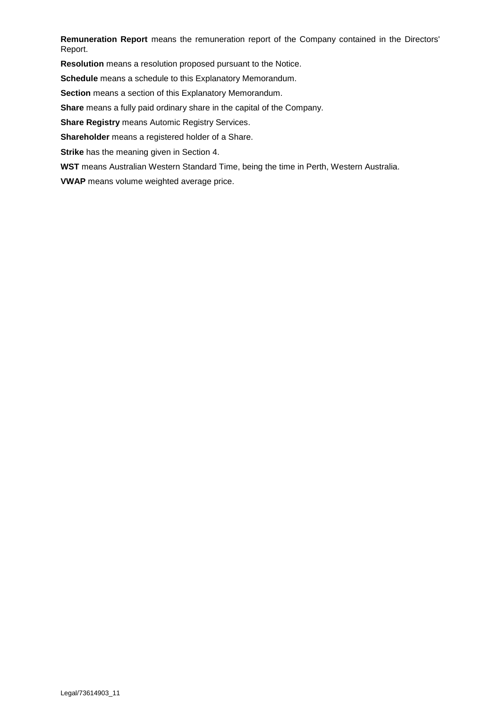**Remuneration Report** means the remuneration report of the Company contained in the Directors' Report.

**Resolution** means a resolution proposed pursuant to the Notice.

**Schedule** means a schedule to this Explanatory Memorandum.

**Section** means a section of this Explanatory Memorandum.

**Share** means a fully paid ordinary share in the capital of the Company.

**Share Registry** means Automic Registry Services.

**Shareholder** means a registered holder of a Share.

**Strike** has the meaning given in Section [4.](#page-8-0)

**WST** means Australian Western Standard Time, being the time in Perth, Western Australia.

**VWAP** means volume weighted average price.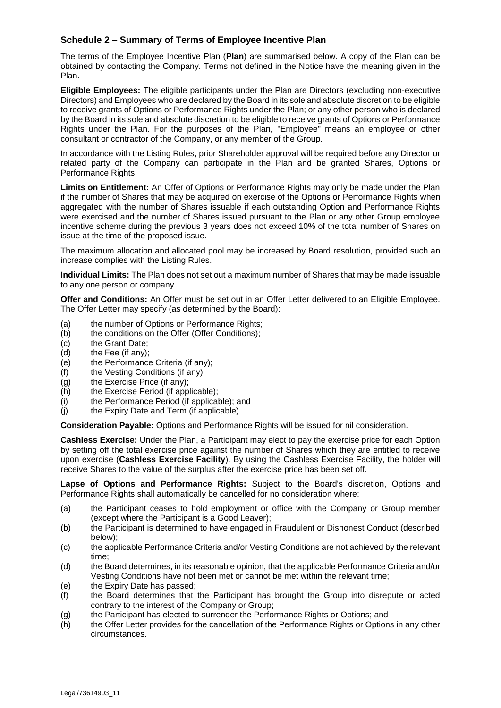### **Schedule 2 – Summary of Terms of Employee Incentive Plan**

The terms of the Employee Incentive Plan (**Plan**) are summarised below. A copy of the Plan can be obtained by contacting the Company. Terms not defined in the Notice have the meaning given in the Plan.

**Eligible Employees:** The eligible participants under the Plan are Directors (excluding non-executive Directors) and Employees who are declared by the Board in its sole and absolute discretion to be eligible to receive grants of Options or Performance Rights under the Plan; or any other person who is declared by the Board in its sole and absolute discretion to be eligible to receive grants of Options or Performance Rights under the Plan. For the purposes of the Plan, "Employee" means an employee or other consultant or contractor of the Company, or any member of the Group.

In accordance with the Listing Rules, prior Shareholder approval will be required before any Director or related party of the Company can participate in the Plan and be granted Shares, Options or Performance Rights.

**Limits on Entitlement:** An Offer of Options or Performance Rights may only be made under the Plan if the number of Shares that may be acquired on exercise of the Options or Performance Rights when aggregated with the number of Shares issuable if each outstanding Option and Performance Rights were exercised and the number of Shares issued pursuant to the Plan or any other Group employee incentive scheme during the previous 3 years does not exceed 10% of the total number of Shares on issue at the time of the proposed issue.

The maximum allocation and allocated pool may be increased by Board resolution, provided such an increase complies with the Listing Rules.

**Individual Limits:** The Plan does not set out a maximum number of Shares that may be made issuable to any one person or company.

**Offer and Conditions:** An Offer must be set out in an Offer Letter delivered to an Eligible Employee. The Offer Letter may specify (as determined by the Board):

- (a) the number of Options or Performance Rights;
- (b) the conditions on the Offer (Offer Conditions);
- (c) the Grant Date;
- (d) the Fee (if any);
- (e) the Performance Criteria (if any);
- (f) the Vesting Conditions (if any);
- (g) the Exercise Price (if any);
- (h) the Exercise Period (if applicable);
- (i) the Performance Period (if applicable); and
- (j) the Expiry Date and Term (if applicable).

**Consideration Payable:** Options and Performance Rights will be issued for nil consideration.

**Cashless Exercise:** Under the Plan, a Participant may elect to pay the exercise price for each Option by setting off the total exercise price against the number of Shares which they are entitled to receive upon exercise (**Cashless Exercise Facility**). By using the Cashless Exercise Facility, the holder will receive Shares to the value of the surplus after the exercise price has been set off.

**Lapse of Options and Performance Rights:** Subject to the Board's discretion, Options and Performance Rights shall automatically be cancelled for no consideration where:

- (a) the Participant ceases to hold employment or office with the Company or Group member (except where the Participant is a Good Leaver);
- (b) the Participant is determined to have engaged in Fraudulent or Dishonest Conduct (described below);
- (c) the applicable Performance Criteria and/or Vesting Conditions are not achieved by the relevant time;
- (d) the Board determines, in its reasonable opinion, that the applicable Performance Criteria and/or Vesting Conditions have not been met or cannot be met within the relevant time;
- (e) the Expiry Date has passed;
- $(f)$  the Board determines that the Participant has brought the Group into disrepute or acted contrary to the interest of the Company or Group;
- (g) the Participant has elected to surrender the Performance Rights or Options; and
- (h) the Offer Letter provides for the cancellation of the Performance Rights or Options in any other circumstances.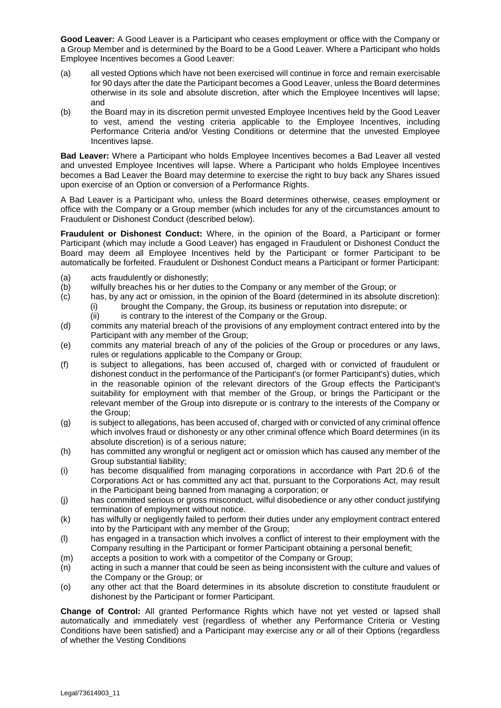**Good Leaver:** A Good Leaver is a Participant who ceases employment or office with the Company or a Group Member and is determined by the Board to be a Good Leaver. Where a Participant who holds Employee Incentives becomes a Good Leaver:

- (a) all vested Options which have not been exercised will continue in force and remain exercisable for 90 days after the date the Participant becomes a Good Leaver, unless the Board determines otherwise in its sole and absolute discretion, after which the Employee Incentives will lapse; and
- (b) the Board may in its discretion permit unvested Employee Incentives held by the Good Leaver to vest, amend the vesting criteria applicable to the Employee Incentives, including Performance Criteria and/or Vesting Conditions or determine that the unvested Employee Incentives lapse.

**Bad Leaver:** Where a Participant who holds Employee Incentives becomes a Bad Leaver all vested and unvested Employee Incentives will lapse. Where a Participant who holds Employee Incentives becomes a Bad Leaver the Board may determine to exercise the right to buy back any Shares issued upon exercise of an Option or conversion of a Performance Rights.

A Bad Leaver is a Participant who, unless the Board determines otherwise, ceases employment or office with the Company or a Group member (which includes for any of the circumstances amount to Fraudulent or Dishonest Conduct (described below).

**Fraudulent or Dishonest Conduct:** Where, in the opinion of the Board, a Participant or former Participant (which may include a Good Leaver) has engaged in Fraudulent or Dishonest Conduct the Board may deem all Employee Incentives held by the Participant or former Participant to be automatically be forfeited. Fraudulent or Dishonest Conduct means a Participant or former Participant:

- (a) acts fraudulently or dishonestly;
- (b) wilfully breaches his or her duties to the Company or any member of the Group; or
- (c) has, by any act or omission, in the opinion of the Board (determined in its absolute discretion): (i) brought the Company, the Group, its business or reputation into disrepute; or
	- (ii) is contrary to the interest of the Company or the Group.
- (d) commits any material breach of the provisions of any employment contract entered into by the Participant with any member of the Group;
- (e) commits any material breach of any of the policies of the Group or procedures or any laws, rules or regulations applicable to the Company or Group;
- (f) is subject to allegations, has been accused of, charged with or convicted of fraudulent or dishonest conduct in the performance of the Participant's (or former Participant's) duties, which in the reasonable opinion of the relevant directors of the Group effects the Participant's suitability for employment with that member of the Group, or brings the Participant or the relevant member of the Group into disrepute or is contrary to the interests of the Company or the Group;
- (g) is subject to allegations, has been accused of, charged with or convicted of any criminal offence which involves fraud or dishonesty or any other criminal offence which Board determines (in its absolute discretion) is of a serious nature;
- (h) has committed any wrongful or negligent act or omission which has caused any member of the Group substantial liability;
- (i) has become disqualified from managing corporations in accordance with Part 2D.6 of the Corporations Act or has committed any act that, pursuant to the Corporations Act, may result in the Participant being banned from managing a corporation; or
- (j) has committed serious or gross misconduct, wilful disobedience or any other conduct justifying termination of employment without notice.
- (k) has wilfully or negligently failed to perform their duties under any employment contract entered into by the Participant with any member of the Group;
- (l) has engaged in a transaction which involves a conflict of interest to their employment with the Company resulting in the Participant or former Participant obtaining a personal benefit;
- (m) accepts a position to work with a competitor of the Company or Group;
- (n) acting in such a manner that could be seen as being inconsistent with the culture and values of the Company or the Group; or
- (o) any other act that the Board determines in its absolute discretion to constitute fraudulent or dishonest by the Participant or former Participant.

**Change of Control:** All granted Performance Rights which have not yet vested or lapsed shall automatically and immediately vest (regardless of whether any Performance Criteria or Vesting Conditions have been satisfied) and a Participant may exercise any or all of their Options (regardless of whether the Vesting Conditions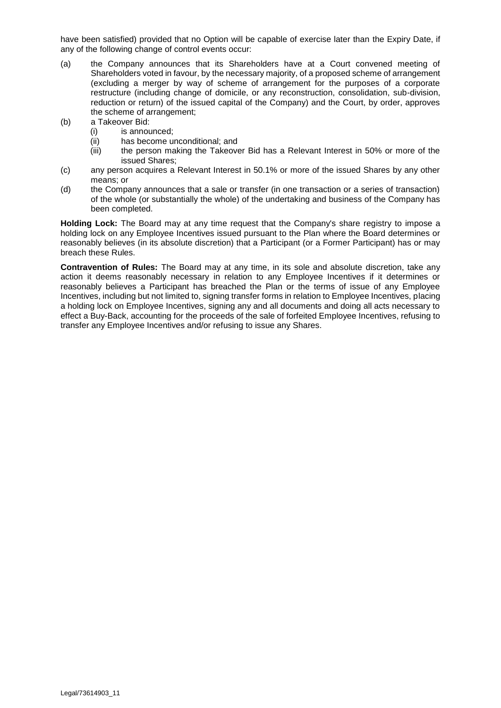have been satisfied) provided that no Option will be capable of exercise later than the Expiry Date, if any of the following change of control events occur:

- (a) the Company announces that its Shareholders have at a Court convened meeting of Shareholders voted in favour, by the necessary majority, of a proposed scheme of arrangement (excluding a merger by way of scheme of arrangement for the purposes of a corporate restructure (including change of domicile, or any reconstruction, consolidation, sub-division, reduction or return) of the issued capital of the Company) and the Court, by order, approves the scheme of arrangement;
- (b) a Takeover Bid:
	- (i) is announced;
	- (ii) has become unconditional; and
	- (iii) the person making the Takeover Bid has a Relevant Interest in 50% or more of the issued Shares;
- (c) any person acquires a Relevant Interest in 50.1% or more of the issued Shares by any other means; or
- (d) the Company announces that a sale or transfer (in one transaction or a series of transaction) of the whole (or substantially the whole) of the undertaking and business of the Company has been completed.

**Holding Lock:** The Board may at any time request that the Company's share registry to impose a holding lock on any Employee Incentives issued pursuant to the Plan where the Board determines or reasonably believes (in its absolute discretion) that a Participant (or a Former Participant) has or may breach these Rules.

**Contravention of Rules:** The Board may at any time, in its sole and absolute discretion, take any action it deems reasonably necessary in relation to any Employee Incentives if it determines or reasonably believes a Participant has breached the Plan or the terms of issue of any Employee Incentives, including but not limited to, signing transfer forms in relation to Employee Incentives, placing a holding lock on Employee Incentives, signing any and all documents and doing all acts necessary to effect a Buy-Back, accounting for the proceeds of the sale of forfeited Employee Incentives, refusing to transfer any Employee Incentives and/or refusing to issue any Shares.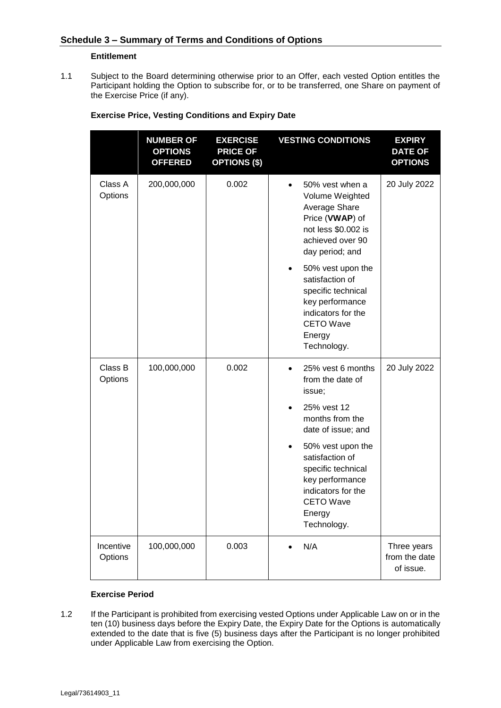#### **Entitlement**

1.1 Subject to the Board determining otherwise prior to an Offer, each vested Option entitles the Participant holding the Option to subscribe for, or to be transferred, one Share on payment of the Exercise Price (if any).

|                      | <b>NUMBER OF</b><br><b>OPTIONS</b><br><b>OFFERED</b> | <b>EXERCISE</b><br><b>PRICE OF</b><br><b>OPTIONS (\$)</b> | <b>VESTING CONDITIONS</b>                                                                                                                                                                                                                                                                     | <b>EXPIRY</b><br><b>DATE OF</b><br><b>OPTIONS</b> |
|----------------------|------------------------------------------------------|-----------------------------------------------------------|-----------------------------------------------------------------------------------------------------------------------------------------------------------------------------------------------------------------------------------------------------------------------------------------------|---------------------------------------------------|
| Class A<br>Options   | 200,000,000                                          | 0.002                                                     | 50% vest when a<br>Volume Weighted<br>Average Share<br>Price (VWAP) of<br>not less \$0.002 is<br>achieved over 90<br>day period; and<br>50% vest upon the<br>٠<br>satisfaction of<br>specific technical<br>key performance<br>indicators for the<br><b>CETO Wave</b><br>Energy<br>Technology. | 20 July 2022                                      |
| Class B<br>Options   | 100,000,000                                          | 0.002                                                     | 25% vest 6 months<br>from the date of<br>issue;<br>25% vest 12<br>months from the<br>date of issue; and<br>50% vest upon the<br>٠<br>satisfaction of<br>specific technical<br>key performance<br>indicators for the<br><b>CETO Wave</b><br>Energy<br>Technology.                              | 20 July 2022                                      |
| Incentive<br>Options | 100,000,000                                          | 0.003                                                     | N/A                                                                                                                                                                                                                                                                                           | Three years<br>from the date<br>of issue.         |

#### **Exercise Price, Vesting Conditions and Expiry Date**

#### **Exercise Period**

1.2 If the Participant is prohibited from exercising vested Options under Applicable Law on or in the ten (10) business days before the Expiry Date, the Expiry Date for the Options is automatically extended to the date that is five (5) business days after the Participant is no longer prohibited under Applicable Law from exercising the Option.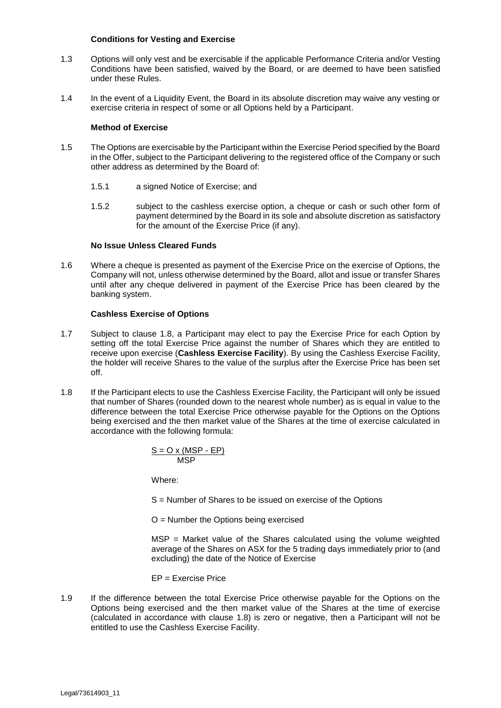#### **Conditions for Vesting and Exercise**

- 1.3 Options will only vest and be exercisable if the applicable Performance Criteria and/or Vesting Conditions have been satisfied, waived by the Board, or are deemed to have been satisfied under these Rules.
- 1.4 In the event of a Liquidity Event, the Board in its absolute discretion may waive any vesting or exercise criteria in respect of some or all Options held by a Participant.

#### **Method of Exercise**

- 1.5 The Options are exercisable by the Participant within the Exercise Period specified by the Board in the Offer, subject to the Participant delivering to the registered office of the Company or such other address as determined by the Board of:
	- 1.5.1 a signed Notice of Exercise; and
	- 1.5.2 subject to the cashless exercise option, a cheque or cash or such other form of payment determined by the Board in its sole and absolute discretion as satisfactory for the amount of the Exercise Price (if any).

#### **No Issue Unless Cleared Funds**

1.6 Where a cheque is presented as payment of the Exercise Price on the exercise of Options, the Company will not, unless otherwise determined by the Board, allot and issue or transfer Shares until after any cheque delivered in payment of the Exercise Price has been cleared by the banking system.

#### **Cashless Exercise of Options**

- 1.7 Subject to clause [1.8,](#page-26-0) a Participant may elect to pay the Exercise Price for each Option by setting off the total Exercise Price against the number of Shares which they are entitled to receive upon exercise (**Cashless Exercise Facility**). By using the Cashless Exercise Facility, the holder will receive Shares to the value of the surplus after the Exercise Price has been set off.
- <span id="page-26-0"></span>1.8 If the Participant elects to use the Cashless Exercise Facility, the Participant will only be issued that number of Shares (rounded down to the nearest whole number) as is equal in value to the difference between the total Exercise Price otherwise payable for the Options on the Options being exercised and the then market value of the Shares at the time of exercise calculated in accordance with the following formula:

$$
\frac{S = O \times (MSP - EP)}{MSP}
$$

Where:

S = Number of Shares to be issued on exercise of the Options

O = Number the Options being exercised

MSP = Market value of the Shares calculated using the volume weighted average of the Shares on ASX for the 5 trading days immediately prior to (and excluding) the date of the Notice of Exercise

EP = Exercise Price

1.9 If the difference between the total Exercise Price otherwise payable for the Options on the Options being exercised and the then market value of the Shares at the time of exercise (calculated in accordance with clause [1.8\)](#page-26-0) is zero or negative, then a Participant will not be entitled to use the Cashless Exercise Facility.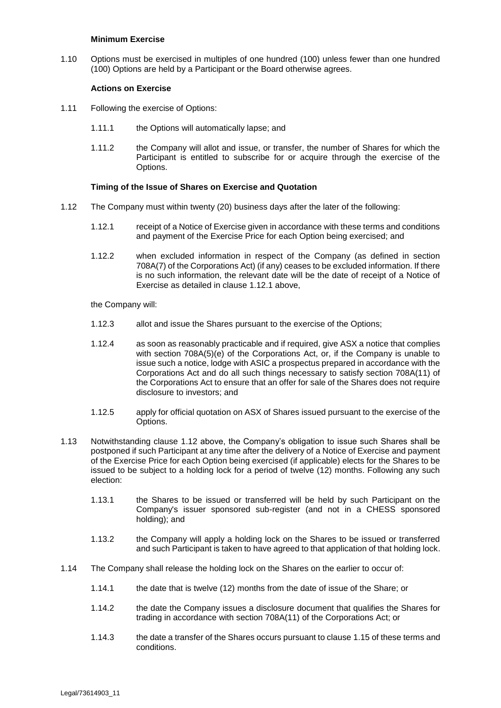#### **Minimum Exercise**

1.10 Options must be exercised in multiples of one hundred (100) unless fewer than one hundred (100) Options are held by a Participant or the Board otherwise agrees.

#### **Actions on Exercise**

- 1.11 Following the exercise of Options:
	- 1.11.1 the Options will automatically lapse; and
	- 1.11.2 the Company will allot and issue, or transfer, the number of Shares for which the Participant is entitled to subscribe for or acquire through the exercise of the Options.

#### **Timing of the Issue of Shares on Exercise and Quotation**

- <span id="page-27-1"></span><span id="page-27-0"></span>1.12 The Company must within twenty (20) business days after the later of the following:
	- 1.12.1 receipt of a Notice of Exercise given in accordance with these terms and conditions and payment of the Exercise Price for each Option being exercised; and
	- 1.12.2 when excluded information in respect of the Company (as defined in section 708A(7) of the Corporations Act) (if any) ceases to be excluded information. If there is no such information, the relevant date will be the date of receipt of a Notice of Exercise as detailed in clause [1.12.1](#page-27-0) above,

the Company will:

- 1.12.3 allot and issue the Shares pursuant to the exercise of the Options;
- 1.12.4 as soon as reasonably practicable and if required, give ASX a notice that complies with section 708A(5)(e) of the Corporations Act, or, if the Company is unable to issue such a notice, lodge with ASIC a prospectus prepared in accordance with the Corporations Act and do all such things necessary to satisfy section 708A(11) of the Corporations Act to ensure that an offer for sale of the Shares does not require disclosure to investors; and
- 1.12.5 apply for official quotation on ASX of Shares issued pursuant to the exercise of the Options.
- 1.13 Notwithstanding clause [1.12](#page-27-1) above, the Company's obligation to issue such Shares shall be postponed if such Participant at any time after the delivery of a Notice of Exercise and payment of the Exercise Price for each Option being exercised (if applicable) elects for the Shares to be issued to be subject to a holding lock for a period of twelve (12) months. Following any such election:
	- 1.13.1 the Shares to be issued or transferred will be held by such Participant on the Company's issuer sponsored sub-register (and not in a CHESS sponsored holding); and
	- 1.13.2 the Company will apply a holding lock on the Shares to be issued or transferred and such Participant is taken to have agreed to that application of that holding lock.
- <span id="page-27-2"></span>1.14 The Company shall release the holding lock on the Shares on the earlier to occur of:
	- 1.14.1 the date that is twelve (12) months from the date of issue of the Share; or
	- 1.14.2 the date the Company issues a disclosure document that qualifies the Shares for trading in accordance with section 708A(11) of the Corporations Act; or
	- 1.14.3 the date a transfer of the Shares occurs pursuant to clause [1.15](#page-28-0) of these terms and conditions.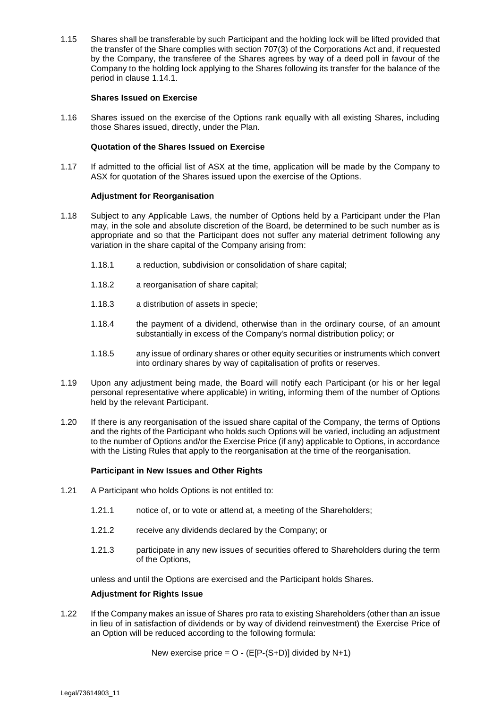<span id="page-28-0"></span>1.15 Shares shall be transferable by such Participant and the holding lock will be lifted provided that the transfer of the Share complies with section 707(3) of the Corporations Act and, if requested by the Company, the transferee of the Shares agrees by way of a deed poll in favour of the Company to the holding lock applying to the Shares following its transfer for the balance of the period in clause [1.14.1.](#page-27-2)

#### **Shares Issued on Exercise**

1.16 Shares issued on the exercise of the Options rank equally with all existing Shares, including those Shares issued, directly, under the Plan.

#### **Quotation of the Shares Issued on Exercise**

1.17 If admitted to the official list of ASX at the time, application will be made by the Company to ASX for quotation of the Shares issued upon the exercise of the Options.

#### **Adjustment for Reorganisation**

- 1.18 Subject to any Applicable Laws, the number of Options held by a Participant under the Plan may, in the sole and absolute discretion of the Board, be determined to be such number as is appropriate and so that the Participant does not suffer any material detriment following any variation in the share capital of the Company arising from:
	- 1.18.1 a reduction, subdivision or consolidation of share capital;
	- 1.18.2 a reorganisation of share capital;
	- 1.18.3 a distribution of assets in specie;
	- 1.18.4 the payment of a dividend, otherwise than in the ordinary course, of an amount substantially in excess of the Company's normal distribution policy; or
	- 1.18.5 any issue of ordinary shares or other equity securities or instruments which convert into ordinary shares by way of capitalisation of profits or reserves.
- 1.19 Upon any adjustment being made, the Board will notify each Participant (or his or her legal personal representative where applicable) in writing, informing them of the number of Options held by the relevant Participant.
- 1.20 If there is any reorganisation of the issued share capital of the Company, the terms of Options and the rights of the Participant who holds such Options will be varied, including an adjustment to the number of Options and/or the Exercise Price (if any) applicable to Options, in accordance with the Listing Rules that apply to the reorganisation at the time of the reorganisation.

#### **Participant in New Issues and Other Rights**

- 1.21 A Participant who holds Options is not entitled to:
	- 1.21.1 notice of, or to vote or attend at, a meeting of the Shareholders;
	- 1.21.2 receive any dividends declared by the Company; or
	- 1.21.3 participate in any new issues of securities offered to Shareholders during the term of the Options,

unless and until the Options are exercised and the Participant holds Shares.

#### **Adjustment for Rights Issue**

1.22 If the Company makes an issue of Shares pro rata to existing Shareholders (other than an issue in lieu of in satisfaction of dividends or by way of dividend reinvestment) the Exercise Price of an Option will be reduced according to the following formula:

New exercise price =  $O - (E[P-(S+D)])$  divided by N+1)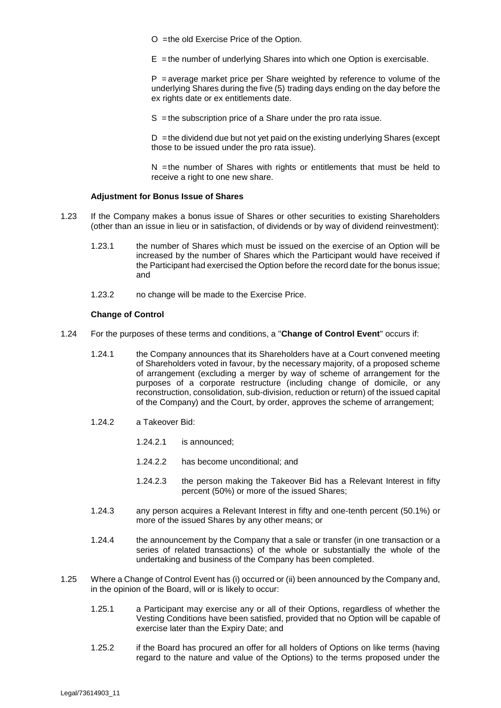O =the old Exercise Price of the Option.

 $E =$  the number of underlying Shares into which one Option is exercisable.

 $P$  = average market price per Share weighted by reference to volume of the underlying Shares during the five (5) trading days ending on the day before the ex rights date or ex entitlements date.

S = the subscription price of a Share under the pro rata issue.

 $D =$ the dividend due but not yet paid on the existing underlying Shares (except those to be issued under the pro rata issue).

N =the number of Shares with rights or entitlements that must be held to receive a right to one new share.

#### **Adjustment for Bonus Issue of Shares**

- 1.23 If the Company makes a bonus issue of Shares or other securities to existing Shareholders (other than an issue in lieu or in satisfaction, of dividends or by way of dividend reinvestment):
	- 1.23.1 the number of Shares which must be issued on the exercise of an Option will be increased by the number of Shares which the Participant would have received if the Participant had exercised the Option before the record date for the bonus issue; and
	- 1.23.2 no change will be made to the Exercise Price.

#### **Change of Control**

- 1.24 For the purposes of these terms and conditions, a "**Change of Control Event**" occurs if:
	- 1.24.1 the Company announces that its Shareholders have at a Court convened meeting of Shareholders voted in favour, by the necessary majority, of a proposed scheme of arrangement (excluding a merger by way of scheme of arrangement for the purposes of a corporate restructure (including change of domicile, or any reconstruction, consolidation, sub-division, reduction or return) of the issued capital of the Company) and the Court, by order, approves the scheme of arrangement;
	- 1.24.2 a Takeover Bid:
		- 1.24.2.1 is announced;
		- 1.24.2.2 has become unconditional; and
		- 1.24.2.3 the person making the Takeover Bid has a Relevant Interest in fifty percent (50%) or more of the issued Shares;
	- 1.24.3 any person acquires a Relevant Interest in fifty and one-tenth percent (50.1%) or more of the issued Shares by any other means; or
	- 1.24.4 the announcement by the Company that a sale or transfer (in one transaction or a series of related transactions) of the whole or substantially the whole of the undertaking and business of the Company has been completed.
- 1.25 Where a Change of Control Event has (i) occurred or (ii) been announced by the Company and, in the opinion of the Board, will or is likely to occur:
	- 1.25.1 a Participant may exercise any or all of their Options, regardless of whether the Vesting Conditions have been satisfied, provided that no Option will be capable of exercise later than the Expiry Date; and
	- 1.25.2 if the Board has procured an offer for all holders of Options on like terms (having regard to the nature and value of the Options) to the terms proposed under the